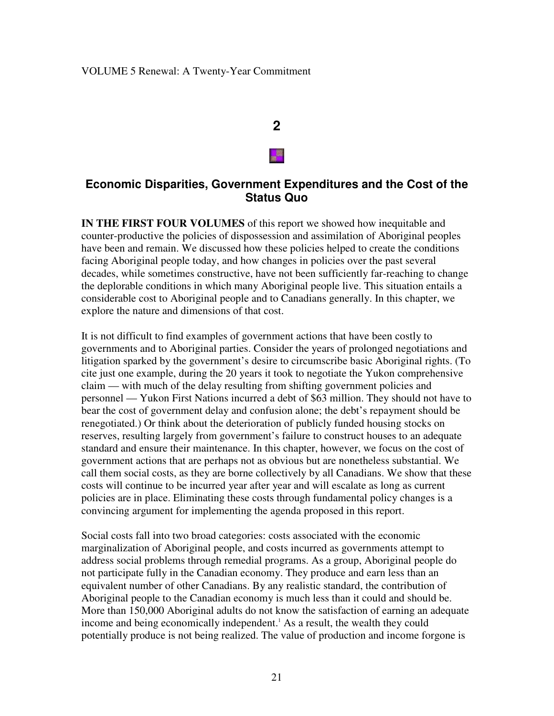

## **Economic Disparities, Government Expenditures and the Cost of the Status Quo**

**IN THE FIRST FOUR VOLUMES** of this report we showed how inequitable and counter-productive the policies of dispossession and assimilation of Aboriginal peoples have been and remain. We discussed how these policies helped to create the conditions facing Aboriginal people today, and how changes in policies over the past several decades, while sometimes constructive, have not been sufficiently far-reaching to change the deplorable conditions in which many Aboriginal people live. This situation entails a considerable cost to Aboriginal people and to Canadians generally. In this chapter, we explore the nature and dimensions of that cost.

It is not difficult to find examples of government actions that have been costly to governments and to Aboriginal parties. Consider the years of prolonged negotiations and litigation sparked by the government's desire to circumscribe basic Aboriginal rights. (To cite just one example, during the 20 years it took to negotiate the Yukon comprehensive claim — with much of the delay resulting from shifting government policies and personnel — Yukon First Nations incurred a debt of \$63 million. They should not have to bear the cost of government delay and confusion alone; the debt's repayment should be renegotiated.) Or think about the deterioration of publicly funded housing stocks on reserves, resulting largely from government's failure to construct houses to an adequate standard and ensure their maintenance. In this chapter, however, we focus on the cost of government actions that are perhaps not as obvious but are nonetheless substantial. We call them social costs, as they are borne collectively by all Canadians. We show that these costs will continue to be incurred year after year and will escalate as long as current policies are in place. Eliminating these costs through fundamental policy changes is a convincing argument for implementing the agenda proposed in this report.

Social costs fall into two broad categories: costs associated with the economic marginalization of Aboriginal people, and costs incurred as governments attempt to address social problems through remedial programs. As a group, Aboriginal people do not participate fully in the Canadian economy. They produce and earn less than an equivalent number of other Canadians. By any realistic standard, the contribution of Aboriginal people to the Canadian economy is much less than it could and should be. More than 150,000 Aboriginal adults do not know the satisfaction of earning an adequate income and being economically independent. <sup>1</sup> As a result, the wealth they could potentially produce is not being realized. The value of production and income forgone is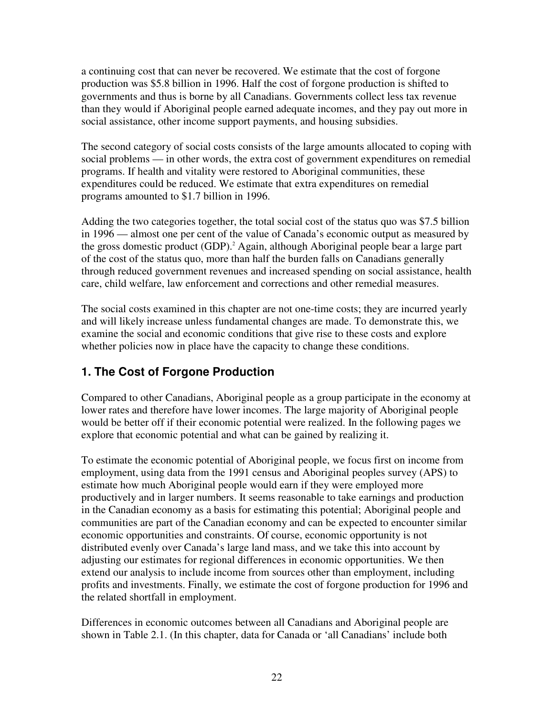a continuing cost that can never be recovered. We estimate that the cost of forgone production was \$5.8 billion in 1996. Half the cost of forgone production is shifted to governments and thus is borne by all Canadians. Governments collect less tax revenue than they would if Aboriginal people earned adequate incomes, and they pay out more in social assistance, other income support payments, and housing subsidies.

The second category of social costs consists of the large amounts allocated to coping with social problems — in other words, the extra cost of government expenditures on remedial programs. If health and vitality were restored to Aboriginal communities, these expenditures could be reduced. We estimate that extra expenditures on remedial programs amounted to \$1.7 billion in 1996.

Adding the two categories together, the total social cost of the status quo was \$7.5 billion in 1996 — almost one per cent of the value of Canada's economic output as measured by the gross domestic product (GDP). <sup>2</sup> Again, although Aboriginal people bear a large part of the cost of the status quo, more than half the burden falls on Canadians generally through reduced government revenues and increased spending on social assistance, health care, child welfare, law enforcement and corrections and other remedial measures.

The social costs examined in this chapter are not one-time costs; they are incurred yearly and will likely increase unless fundamental changes are made. To demonstrate this, we examine the social and economic conditions that give rise to these costs and explore whether policies now in place have the capacity to change these conditions.

# **1. The Cost of Forgone Production**

Compared to other Canadians, Aboriginal people as a group participate in the economy at lower rates and therefore have lower incomes. The large majority of Aboriginal people would be better off if their economic potential were realized. In the following pages we explore that economic potential and what can be gained by realizing it.

To estimate the economic potential of Aboriginal people, we focus first on income from employment, using data from the 1991 census and Aboriginal peoples survey (APS) to estimate how much Aboriginal people would earn if they were employed more productively and in larger numbers. It seems reasonable to take earnings and production in the Canadian economy as a basis for estimating this potential; Aboriginal people and communities are part of the Canadian economy and can be expected to encounter similar economic opportunities and constraints. Of course, economic opportunity is not distributed evenly over Canada's large land mass, and we take this into account by adjusting our estimates for regional differences in economic opportunities. We then extend our analysis to include income from sources other than employment, including profits and investments. Finally, we estimate the cost of forgone production for 1996 and the related shortfall in employment.

Differences in economic outcomes between all Canadians and Aboriginal people are shown in Table 2.1. (In this chapter, data for Canada or 'all Canadians' include both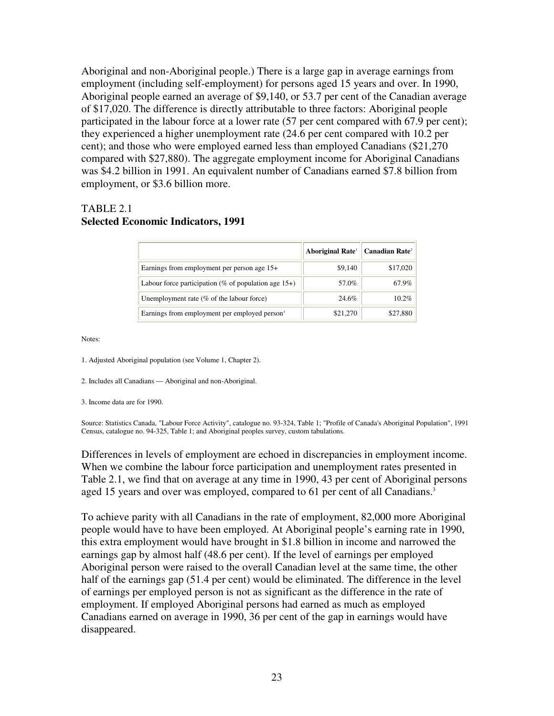Aboriginal and non-Aboriginal people.) There is a large gap in average earnings from employment (including self-employment) for persons aged 15 years and over. In 1990, Aboriginal people earned an average of \$9,140, or 53.7 per cent of the Canadian average of \$17,020. The difference is directly attributable to three factors: Aboriginal people participated in the labour force at a lower rate (57 per cent compared with 67.9 per cent); they experienced a higher unemployment rate (24.6 per cent compared with 10.2 per cent); and those who were employed earned less than employed Canadians (\$21,270 compared with \$27,880). The aggregate employment income for Aboriginal Canadians was \$4.2 billion in 1991. An equivalent number of Canadians earned \$7.8 billion from employment, or \$3.6 billion more.

## TABLE 2.1 **Selected Economic Indicators, 1991**

|                                                           | Aboriginal Rate <sup>1</sup> | Canadian Rate <sup>2</sup> |
|-----------------------------------------------------------|------------------------------|----------------------------|
| Earnings from employment per person age 15+               | \$9,140                      | \$17,020                   |
| Labour force participation (% of population age $15+$ )   | 57.0%                        | 67.9%                      |
| Unemployment rate $(\%$ of the labour force)              | 24.6%                        | $10.2\%$                   |
| Earnings from employment per employed person <sup>3</sup> | \$21,270                     | \$27,880                   |

Notes:

- 1. Adjusted Aboriginal population (see Volume 1, Chapter 2).
- 2. Includes all Canadians Aboriginal and non-Aboriginal.
- 3. Income data are for 1990.

Source: Statistics Canada, "Labour Force Activity", catalogue no. 93-324, Table 1; "Profile of Canada's Aboriginal Population", 1991 Census, catalogue no. 94-325, Table 1; and Aboriginal peoples survey, custom tabulations.

Differences in levels of employment are echoed in discrepancies in employment income. When we combine the labour force participation and unemployment rates presented in Table 2.1, we find that on average at any time in 1990, 43 per cent of Aboriginal persons aged 15 years and over was employed, compared to 61 per cent of all Canadians. 3

To achieve parity with all Canadians in the rate of employment, 82,000 more Aboriginal people would have to have been employed. At Aboriginal people's earning rate in 1990, this extra employment would have brought in \$1.8 billion in income and narrowed the earnings gap by almost half (48.6 per cent). If the level of earnings per employed Aboriginal person were raised to the overall Canadian level at the same time, the other half of the earnings gap (51.4 per cent) would be eliminated. The difference in the level of earnings per employed person is not as significant as the difference in the rate of employment. If employed Aboriginal persons had earned as much as employed Canadians earned on average in 1990, 36 per cent of the gap in earnings would have disappeared.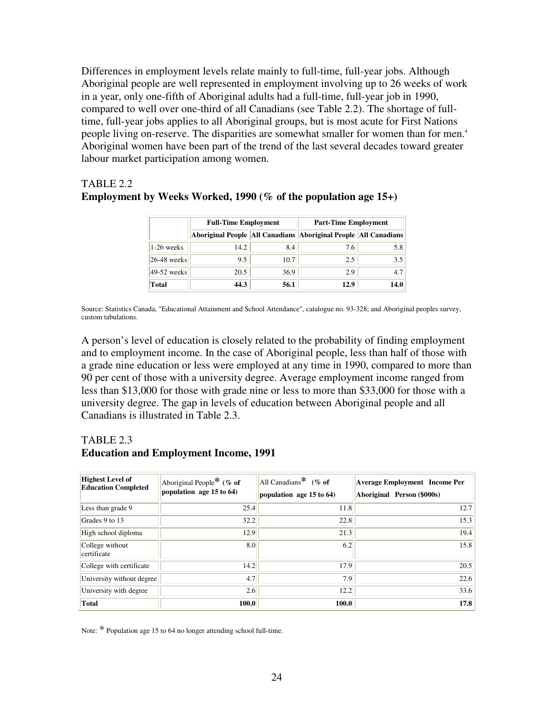Differences in employment levels relate mainly to full-time, full-year jobs. Although Aboriginal people are well represented in employment involving up to 26 weeks of work in a year, only one-fifth of Aboriginal adults had a full-time, full-year job in 1990, compared to well over one-third of all Canadians (see Table 2.2). The shortage of fulltime, full-year jobs applies to all Aboriginal groups, but is most acute for First Nations people living on-reserve. The disparities are somewhat smaller for women than for men. 4 Aboriginal women have been part of the trend of the last several decades toward greater labour market participation among women.

#### TABLE 2.2 **Employment by Weeks Worked, 1990 (% of the population age 15+)**

|               | <b>Full-Time Employment</b>                                           |      | <b>Part-Time Employment</b> |      |  |
|---------------|-----------------------------------------------------------------------|------|-----------------------------|------|--|
|               | Aboriginal People   All Canadians   Aboriginal People   All Canadians |      |                             |      |  |
| $1-26$ weeks  | 14.2                                                                  | 8.4  | 7.6                         | 5.8  |  |
| $26-48$ weeks | 9.5                                                                   | 10.7 | 2.5                         | 3.5  |  |
| $49-52$ weeks | 20.5                                                                  | 36.9 | 2.9                         | 4.7  |  |
| <b>Total</b>  | 44.3                                                                  | 56.1 | 12.9                        | 14.0 |  |

Source: Statistics Canada, "Educational Attainment and School Attendance", catalogue no. 93-328; and Aboriginal peoples survey, custom tabulations.

A person's level of education is closely related to the probability of finding employment and to employment income. In the case of Aboriginal people, less than half of those with a grade nine education or less were employed at any time in 1990, compared to more than 90 per cent of those with a university degree. Average employment income ranged from less than \$13,000 for those with grade nine or less to more than \$33,000 for those with a university degree. The gap in levels of education between Aboriginal people and all Canadians is illustrated in Table 2.3.

## TABLE 2.3 **Education and Employment Income, 1991**

| <b>Highest Level of</b><br><b>Education Completed</b> | Aboriginal People <sup>*</sup> (% of<br>population age $15$ to $64$ ) | All Canadians <sup>*</sup> (% of<br>population age 15 to 64) | <b>Average Employment Income Per</b><br>Aboriginal Person (\$000s) |
|-------------------------------------------------------|-----------------------------------------------------------------------|--------------------------------------------------------------|--------------------------------------------------------------------|
| Less than grade 9                                     | 25.4                                                                  | 11.8                                                         | 12.7                                                               |
| Grades 9 to 13                                        | 32.2                                                                  | 22.8                                                         | 15.3                                                               |
| High school diploma                                   | 12.9                                                                  | 21.3                                                         | 19.4                                                               |
| College without<br>certificate                        | 8.0                                                                   | 6.2                                                          | 15.8                                                               |
| College with certificate                              | 14.2                                                                  | 17.9                                                         | 20.5                                                               |
| University without degree                             | 4.7                                                                   | 7.9                                                          | 22.6                                                               |
| University with degree                                | 2.6                                                                   | 12.2                                                         | 33.6                                                               |
| Total                                                 | 100.0                                                                 | 100.0                                                        | 17.8                                                               |

Note: \* Population age <sup>15</sup> to <sup>64</sup> no longer attending school full-time.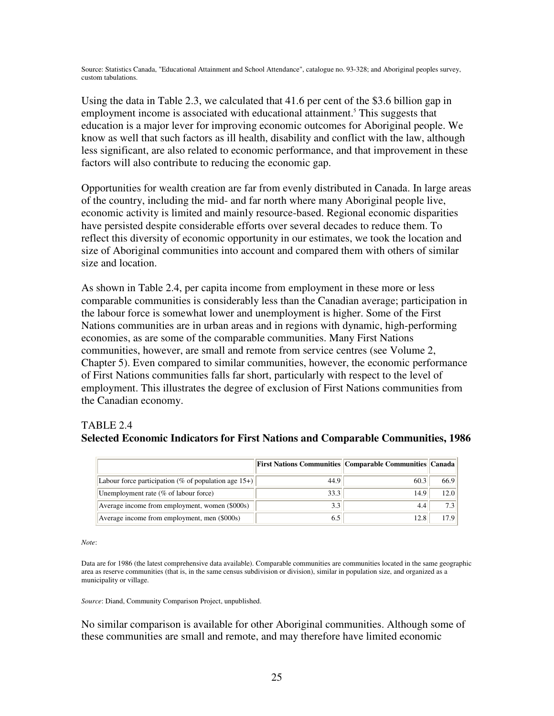Source: Statistics Canada, "Educational Attainment and School Attendance", catalogue no. 93-328; and Aboriginal peoples survey, custom tabulations.

Using the data in Table 2.3, we calculated that 41.6 per cent of the \$3.6 billion gap in employment income is associated with educational attainment. <sup>5</sup> This suggests that education is a major lever for improving economic outcomes for Aboriginal people. We know as well that such factors as ill health, disability and conflict with the law, although less significant, are also related to economic performance, and that improvement in these factors will also contribute to reducing the economic gap.

Opportunities for wealth creation are far from evenly distributed in Canada. In large areas of the country, including the mid- and far north where many Aboriginal people live, economic activity is limited and mainly resource-based. Regional economic disparities have persisted despite considerable efforts over several decades to reduce them. To reflect this diversity of economic opportunity in our estimates, we took the location and size of Aboriginal communities into account and compared them with others of similar size and location.

As shown in Table 2.4, per capita income from employment in these more or less comparable communities is considerably less than the Canadian average; participation in the labour force is somewhat lower and unemployment is higher. Some of the First Nations communities are in urban areas and in regions with dynamic, high-performing economies, as are some of the comparable communities. Many First Nations communities, however, are small and remote from service centres (see Volume 2, Chapter 5). Even compared to similar communities, however, the economic performance of First Nations communities falls far short, particularly with respect to the level of employment. This illustrates the degree of exclusion of First Nations communities from the Canadian economy.

#### TABLE 2.4

#### **Selected Economic Indicators for First Nations and Comparable Communities, 1986**

|                                                         | <b>First Nations Communities Comparable Communities Canada</b> |      |      |
|---------------------------------------------------------|----------------------------------------------------------------|------|------|
| Labour force participation (% of population age $15+$ ) | 44.9                                                           | 60.3 | 66.9 |
| Unemployment rate (% of labour force)                   | 33.3                                                           | 14.9 | 12.0 |
| Average income from employment, women (\$000s)          | 3.3                                                            |      | 7.31 |
| Average income from employment, men (\$000s)            | 6.5                                                            | 12.8 | 17.9 |

*Note*:

Data are for 1986 (the latest comprehensive data available). Comparable communities are communities located in the same geographic area as reserve communities (that is, in the same census subdivision or division), similar in population size, and organized as a municipality or village.

*Source*: Diand, Community Comparison Project, unpublished.

No similar comparison is available for other Aboriginal communities. Although some of these communities are small and remote, and may therefore have limited economic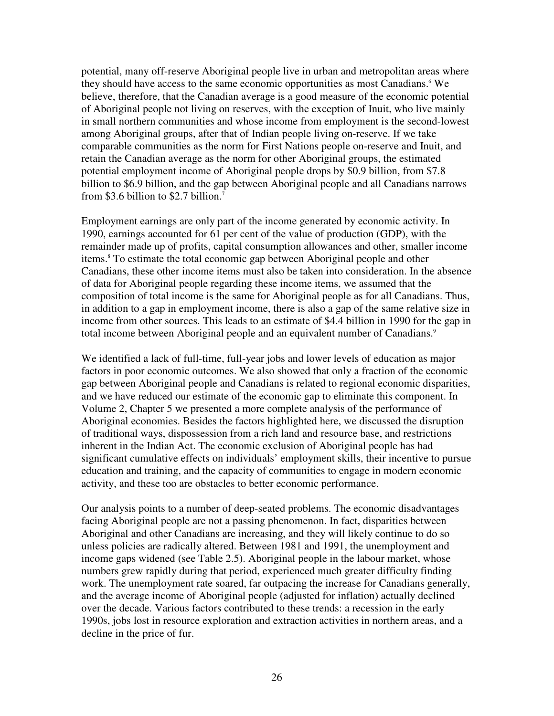potential, many off-reserve Aboriginal people live in urban and metropolitan areas where they should have access to the same economic opportunities as most Canadians. <sup>6</sup> We believe, therefore, that the Canadian average is a good measure of the economic potential of Aboriginal people not living on reserves, with the exception of Inuit, who live mainly in small northern communities and whose income from employment is the second-lowest among Aboriginal groups, after that of Indian people living on-reserve. If we take comparable communities as the norm for First Nations people on-reserve and Inuit, and retain the Canadian average as the norm for other Aboriginal groups, the estimated potential employment income of Aboriginal people drops by \$0.9 billion, from \$7.8 billion to \$6.9 billion, and the gap between Aboriginal people and all Canadians narrows from \$3.6 billion to \$2.7 billion. 7

Employment earnings are only part of the income generated by economic activity. In 1990, earnings accounted for 61 per cent of the value of production (GDP), with the remainder made up of profits, capital consumption allowances and other, smaller income items. <sup>8</sup> To estimate the total economic gap between Aboriginal people and other Canadians, these other income items must also be taken into consideration. In the absence of data for Aboriginal people regarding these income items, we assumed that the composition of total income is the same for Aboriginal people as for all Canadians. Thus, in addition to a gap in employment income, there is also a gap of the same relative size in income from other sources. This leads to an estimate of \$4.4 billion in 1990 for the gap in total income between Aboriginal people and an equivalent number of Canadians.<sup>9</sup>

We identified a lack of full-time, full-year jobs and lower levels of education as major factors in poor economic outcomes. We also showed that only a fraction of the economic gap between Aboriginal people and Canadians is related to regional economic disparities, and we have reduced our estimate of the economic gap to eliminate this component. In Volume 2, Chapter 5 we presented a more complete analysis of the performance of Aboriginal economies. Besides the factors highlighted here, we discussed the disruption of traditional ways, dispossession from a rich land and resource base, and restrictions inherent in the Indian Act. The economic exclusion of Aboriginal people has had significant cumulative effects on individuals' employment skills, their incentive to pursue education and training, and the capacity of communities to engage in modern economic activity, and these too are obstacles to better economic performance.

Our analysis points to a number of deep-seated problems. The economic disadvantages facing Aboriginal people are not a passing phenomenon. In fact, disparities between Aboriginal and other Canadians are increasing, and they will likely continue to do so unless policies are radically altered. Between 1981 and 1991, the unemployment and income gaps widened (see Table 2.5). Aboriginal people in the labour market, whose numbers grew rapidly during that period, experienced much greater difficulty finding work. The unemployment rate soared, far outpacing the increase for Canadians generally, and the average income of Aboriginal people (adjusted for inflation) actually declined over the decade. Various factors contributed to these trends: a recession in the early 1990s, jobs lost in resource exploration and extraction activities in northern areas, and a decline in the price of fur.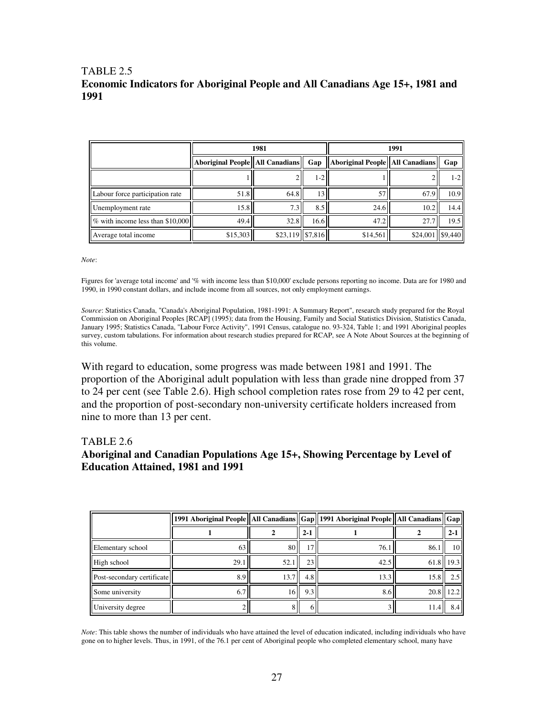### TABLE 2.5 **Economic Indicators for Aboriginal People and All Canadians Age 15+, 1981 and 1991**

|                                              |                                               | 1981             | 1991  |                                   |                    |       |
|----------------------------------------------|-----------------------------------------------|------------------|-------|-----------------------------------|--------------------|-------|
|                                              | <b>Aboriginal People All Canadians</b><br>Gap |                  |       | Aboriginal People   All Canadians |                    | Gap   |
|                                              |                                               |                  | $1-2$ |                                   |                    | $1-2$ |
| Labour force participation rate              | 51.8                                          | 64.8             | 13    | 57                                | 67.9               | 10.9  |
| Unemployment rate                            | 15.8                                          | 7.3              | 8.5   | 24.6                              | 10.2               | 14.4  |
| $\frac{1}{2}$ with income less than \$10,000 | 49.4                                          | 32.8             | 16.6  | 47.2                              | 27.7               | 19.5  |
| Average total income                         | \$15,303                                      | \$23,119 \$7,816 |       | \$14,561                          | \$24,001   \$9,440 |       |

*Note*:

Figures for 'average total income' and '% with income less than \$10,000' exclude persons reporting no income. Data are for 1980 and 1990, in 1990 constant dollars, and include income from all sources, not only employment earnings.

*Source*: Statistics Canada, "Canada's Aboriginal Population, 1981-1991: A Summary Report", research study prepared for the Royal Commission on Aboriginal Peoples [RCAP] (1995); data from the Housing, Family and Social Statistics Division, Statistics Canada, January 1995; Statistics Canada, "Labour Force Activity", 1991 Census, catalogue no. 93-324, Table 1; and 1991 Aboriginal peoples survey, custom tabulations. For information about research studies prepared for RCAP, see A Note About Sources at the beginning of this volume.

With regard to education, some progress was made between 1981 and 1991. The proportion of the Aboriginal adult population with less than grade nine dropped from 37 to 24 per cent (see Table 2.6). High school completion rates rose from 29 to 42 per cent, and the proportion of post-secondary non-university certificate holders increased from nine to more than 13 per cent.

#### TABLE 2.6

#### **Aboriginal and Canadian Populations Age 15+, Showing Percentage by Level of Education Attained, 1981 and 1991**

|                            |      |      |              | 1991 Aboriginal People    All Canadians    Gap    1991 Aboriginal People    All Canadians    Gap |      |                 |
|----------------------------|------|------|--------------|--------------------------------------------------------------------------------------------------|------|-----------------|
|                            |      |      | $2 - 1$      |                                                                                                  |      | $2 - 1$         |
| Elementary school          | 63   | 80   | 17           | 76.1                                                                                             | 86.1 | 10 <sup> </sup> |
| High school                | 29.1 | 52.1 | 23           | 42.5                                                                                             |      | 61.8 19.3       |
| Post-secondary certificate | 8.9  | 13.7 | 4.8          | 13.3                                                                                             | 15.8 | 2.5             |
| Some university            | 6.7  | 16   | 9.3          | 8.6                                                                                              | 20.8 | 12.2            |
| University degree          |      |      | <sub>n</sub> |                                                                                                  | 11.4 | 8.4             |

*Note*: This table shows the number of individuals who have attained the level of education indicated, including individuals who have gone on to higher levels. Thus, in 1991, of the 76.1 per cent of Aboriginal people who completed elementary school, many have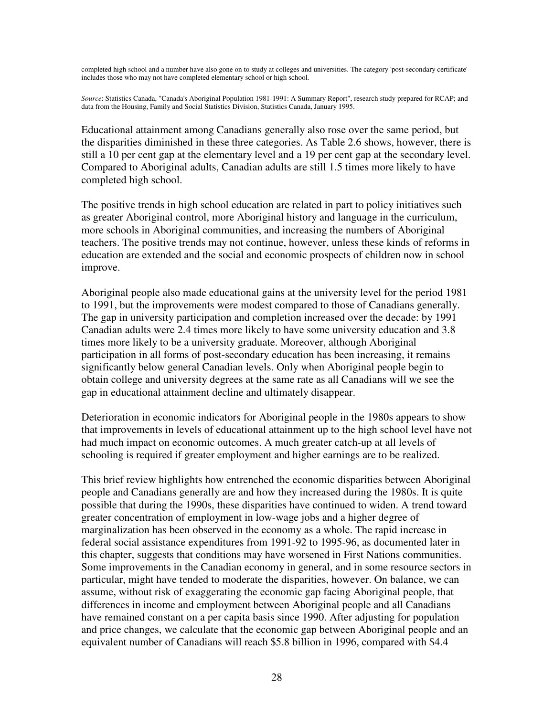completed high school and a number have also gone on to study at colleges and universities. The category 'post-secondary certificate' includes those who may not have completed elementary school or high school.

*Source*: Statistics Canada, "Canada's Aboriginal Population 1981-1991: A Summary Report", research study prepared for RCAP; and data from the Housing, Family and Social Statistics Division, Statistics Canada, January 1995.

Educational attainment among Canadians generally also rose over the same period, but the disparities diminished in these three categories. As Table 2.6 shows, however, there is still a 10 per cent gap at the elementary level and a 19 per cent gap at the secondary level. Compared to Aboriginal adults, Canadian adults are still 1.5 times more likely to have completed high school.

The positive trends in high school education are related in part to policy initiatives such as greater Aboriginal control, more Aboriginal history and language in the curriculum, more schools in Aboriginal communities, and increasing the numbers of Aboriginal teachers. The positive trends may not continue, however, unless these kinds of reforms in education are extended and the social and economic prospects of children now in school improve.

Aboriginal people also made educational gains at the university level for the period 1981 to 1991, but the improvements were modest compared to those of Canadians generally. The gap in university participation and completion increased over the decade: by 1991 Canadian adults were 2.4 times more likely to have some university education and 3.8 times more likely to be a university graduate. Moreover, although Aboriginal participation in all forms of post-secondary education has been increasing, it remains significantly below general Canadian levels. Only when Aboriginal people begin to obtain college and university degrees at the same rate as all Canadians will we see the gap in educational attainment decline and ultimately disappear.

Deterioration in economic indicators for Aboriginal people in the 1980s appears to show that improvements in levels of educational attainment up to the high school level have not had much impact on economic outcomes. A much greater catch-up at all levels of schooling is required if greater employment and higher earnings are to be realized.

This brief review highlights how entrenched the economic disparities between Aboriginal people and Canadians generally are and how they increased during the 1980s. It is quite possible that during the 1990s, these disparities have continued to widen. A trend toward greater concentration of employment in low-wage jobs and a higher degree of marginalization has been observed in the economy as a whole. The rapid increase in federal social assistance expenditures from 1991-92 to 1995-96, as documented later in this chapter, suggests that conditions may have worsened in First Nations communities. Some improvements in the Canadian economy in general, and in some resource sectors in particular, might have tended to moderate the disparities, however. On balance, we can assume, without risk of exaggerating the economic gap facing Aboriginal people, that differences in income and employment between Aboriginal people and all Canadians have remained constant on a per capita basis since 1990. After adjusting for population and price changes, we calculate that the economic gap between Aboriginal people and an equivalent number of Canadians will reach \$5.8 billion in 1996, compared with \$4.4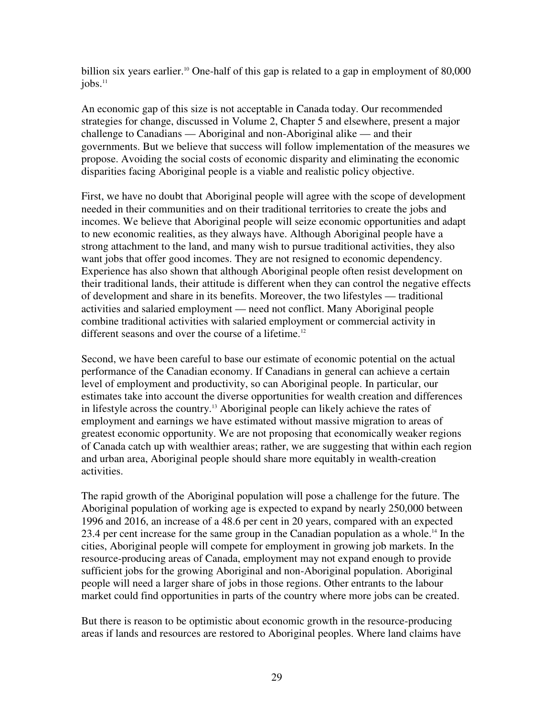billion six years earlier. <sup>10</sup> One-half of this gap is related to a gap in employment of 80,000 jobs. 11

An economic gap of this size is not acceptable in Canada today. Our recommended strategies for change, discussed in Volume 2, Chapter 5 and elsewhere, present a major challenge to Canadians — Aboriginal and non-Aboriginal alike — and their governments. But we believe that success will follow implementation of the measures we propose. Avoiding the social costs of economic disparity and eliminating the economic disparities facing Aboriginal people is a viable and realistic policy objective.

First, we have no doubt that Aboriginal people will agree with the scope of development needed in their communities and on their traditional territories to create the jobs and incomes. We believe that Aboriginal people will seize economic opportunities and adapt to new economic realities, as they always have. Although Aboriginal people have a strong attachment to the land, and many wish to pursue traditional activities, they also want jobs that offer good incomes. They are not resigned to economic dependency. Experience has also shown that although Aboriginal people often resist development on their traditional lands, their attitude is different when they can control the negative effects of development and share in its benefits. Moreover, the two lifestyles — traditional activities and salaried employment — need not conflict. Many Aboriginal people combine traditional activities with salaried employment or commercial activity in different seasons and over the course of a lifetime.<sup>12</sup>

Second, we have been careful to base our estimate of economic potential on the actual performance of the Canadian economy. If Canadians in general can achieve a certain level of employment and productivity, so can Aboriginal people. In particular, our estimates take into account the diverse opportunities for wealth creation and differences in lifestyle across the country. <sup>13</sup> Aboriginal people can likely achieve the rates of employment and earnings we have estimated without massive migration to areas of greatest economic opportunity. We are not proposing that economically weaker regions of Canada catch up with wealthier areas; rather, we are suggesting that within each region and urban area, Aboriginal people should share more equitably in wealth-creation activities.

The rapid growth of the Aboriginal population will pose a challenge for the future. The Aboriginal population of working age is expected to expand by nearly 250,000 between 1996 and 2016, an increase of a 48.6 per cent in 20 years, compared with an expected 23.4 per cent increase for the same group in the Canadian population as a whole.<sup>14</sup> In the cities, Aboriginal people will compete for employment in growing job markets. In the resource-producing areas of Canada, employment may not expand enough to provide sufficient jobs for the growing Aboriginal and non-Aboriginal population. Aboriginal people will need a larger share of jobs in those regions. Other entrants to the labour market could find opportunities in parts of the country where more jobs can be created.

But there is reason to be optimistic about economic growth in the resource-producing areas if lands and resources are restored to Aboriginal peoples. Where land claims have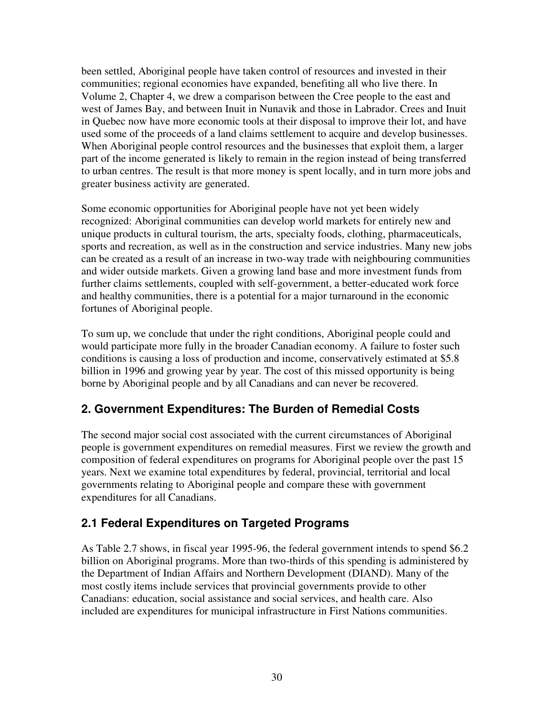been settled, Aboriginal people have taken control of resources and invested in their communities; regional economies have expanded, benefiting all who live there. In Volume 2, Chapter 4, we drew a comparison between the Cree people to the east and west of James Bay, and between Inuit in Nunavik and those in Labrador. Crees and Inuit in Quebec now have more economic tools at their disposal to improve their lot, and have used some of the proceeds of a land claims settlement to acquire and develop businesses. When Aboriginal people control resources and the businesses that exploit them, a larger part of the income generated is likely to remain in the region instead of being transferred to urban centres. The result is that more money is spent locally, and in turn more jobs and greater business activity are generated.

Some economic opportunities for Aboriginal people have not yet been widely recognized: Aboriginal communities can develop world markets for entirely new and unique products in cultural tourism, the arts, specialty foods, clothing, pharmaceuticals, sports and recreation, as well as in the construction and service industries. Many new jobs can be created as a result of an increase in two-way trade with neighbouring communities and wider outside markets. Given a growing land base and more investment funds from further claims settlements, coupled with self-government, a better-educated work force and healthy communities, there is a potential for a major turnaround in the economic fortunes of Aboriginal people.

To sum up, we conclude that under the right conditions, Aboriginal people could and would participate more fully in the broader Canadian economy. A failure to foster such conditions is causing a loss of production and income, conservatively estimated at \$5.8 billion in 1996 and growing year by year. The cost of this missed opportunity is being borne by Aboriginal people and by all Canadians and can never be recovered.

# **2. Government Expenditures: The Burden of Remedial Costs**

The second major social cost associated with the current circumstances of Aboriginal people is government expenditures on remedial measures. First we review the growth and composition of federal expenditures on programs for Aboriginal people over the past 15 years. Next we examine total expenditures by federal, provincial, territorial and local governments relating to Aboriginal people and compare these with government expenditures for all Canadians.

## **2.1 Federal Expenditures on Targeted Programs**

As Table 2.7 shows, in fiscal year 1995-96, the federal government intends to spend \$6.2 billion on Aboriginal programs. More than two-thirds of this spending is administered by the Department of Indian Affairs and Northern Development (DIAND). Many of the most costly items include services that provincial governments provide to other Canadians: education, social assistance and social services, and health care. Also included are expenditures for municipal infrastructure in First Nations communities.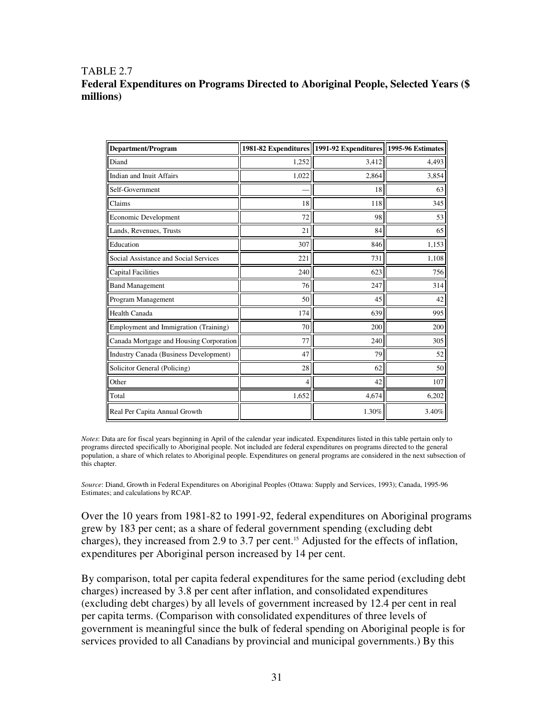#### TABLE 2.7

### **Federal Expenditures on Programs Directed to Aboriginal People, Selected Years (\$ millions)**

| Department/Program                            | 1981-82 Expenditures | 1991-92 Expenditures | 1995-96 Estimates |
|-----------------------------------------------|----------------------|----------------------|-------------------|
| Diand                                         | 1,252                | 3,412                | 4,493             |
| Indian and Inuit Affairs                      | 1,022                | 2,864                | 3,854             |
| Self-Government                               |                      | 18                   | 63                |
| Claims                                        | 18                   | 118                  | 345               |
| Economic Development                          | 72                   | 98                   | 53                |
| Lands, Revenues, Trusts                       | 21                   | 84                   | 65                |
| Education                                     | 307                  | 846                  | 1,153             |
| Social Assistance and Social Services         | 221                  | 731                  | 1,108             |
| <b>Capital Facilities</b>                     | 240                  | 623                  | 756               |
| <b>Band Management</b>                        | 76                   | 247                  | 314               |
| Program Management                            | 50                   | 45                   | 42                |
| <b>Health Canada</b>                          | 174                  | 639                  | 995               |
| Employment and Immigration (Training)         | 70                   | 200                  | 200               |
| Canada Mortgage and Housing Corporation       | 77                   | 240                  | 305               |
| <b>Industry Canada (Business Development)</b> | 47                   | 79                   | 52                |
| Solicitor General (Policing)                  | 28                   | 62                   | 50                |
| Other                                         | 4                    | 42                   | 107               |
| Total                                         | 1,652                | 4,674                | 6,202             |
| Real Per Capita Annual Growth                 |                      | 1.30%                | 3.40%             |

*Notes*: Data are for fiscal years beginning in April of the calendar year indicated. Expenditures listed in this table pertain only to programs directed specifically to Aboriginal people. Not included are federal expenditures on programs directed to the general population, a share of which relates to Aboriginal people. Expenditures on general programs are considered in the next subsection of this chapter.

*Source*: Diand, Growth in Federal Expenditures on Aboriginal Peoples (Ottawa: Supply and Services, 1993); Canada, 1995-96 Estimates; and calculations by RCAP.

Over the 10 years from 1981-82 to 1991-92, federal expenditures on Aboriginal programs grew by 183 per cent; as a share of federal government spending (excluding debt charges), they increased from 2.9 to 3.7 per cent. <sup>15</sup> Adjusted for the effects of inflation, expenditures per Aboriginal person increased by 14 per cent.

By comparison, total per capita federal expenditures for the same period (excluding debt charges) increased by 3.8 per cent after inflation, and consolidated expenditures (excluding debt charges) by all levels of government increased by 12.4 per cent in real per capita terms. (Comparison with consolidated expenditures of three levels of government is meaningful since the bulk of federal spending on Aboriginal people is for services provided to all Canadians by provincial and municipal governments.) By this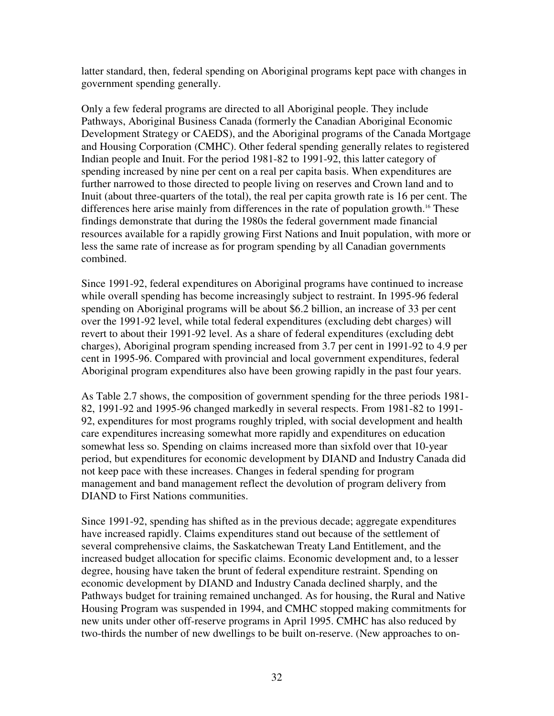latter standard, then, federal spending on Aboriginal programs kept pace with changes in government spending generally.

Only a few federal programs are directed to all Aboriginal people. They include Pathways, Aboriginal Business Canada (formerly the Canadian Aboriginal Economic Development Strategy or CAEDS), and the Aboriginal programs of the Canada Mortgage and Housing Corporation (CMHC). Other federal spending generally relates to registered Indian people and Inuit. For the period 1981-82 to 1991-92, this latter category of spending increased by nine per cent on a real per capita basis. When expenditures are further narrowed to those directed to people living on reserves and Crown land and to Inuit (about three-quarters of the total), the real per capita growth rate is 16 per cent. The differences here arise mainly from differences in the rate of population growth.<sup>16</sup> These findings demonstrate that during the 1980s the federal government made financial resources available for a rapidly growing First Nations and Inuit population, with more or less the same rate of increase as for program spending by all Canadian governments combined.

Since 1991-92, federal expenditures on Aboriginal programs have continued to increase while overall spending has become increasingly subject to restraint. In 1995-96 federal spending on Aboriginal programs will be about \$6.2 billion, an increase of 33 per cent over the 1991-92 level, while total federal expenditures (excluding debt charges) will revert to about their 1991-92 level. As a share of federal expenditures (excluding debt charges), Aboriginal program spending increased from 3.7 per cent in 1991-92 to 4.9 per cent in 1995-96. Compared with provincial and local government expenditures, federal Aboriginal program expenditures also have been growing rapidly in the past four years.

As Table 2.7 shows, the composition of government spending for the three periods 1981- 82, 1991-92 and 1995-96 changed markedly in several respects. From 1981-82 to 1991- 92, expenditures for most programs roughly tripled, with social development and health care expenditures increasing somewhat more rapidly and expenditures on education somewhat less so. Spending on claims increased more than sixfold over that 10-year period, but expenditures for economic development by DIAND and Industry Canada did not keep pace with these increases. Changes in federal spending for program management and band management reflect the devolution of program delivery from DIAND to First Nations communities.

Since 1991-92, spending has shifted as in the previous decade; aggregate expenditures have increased rapidly. Claims expenditures stand out because of the settlement of several comprehensive claims, the Saskatchewan Treaty Land Entitlement, and the increased budget allocation for specific claims. Economic development and, to a lesser degree, housing have taken the brunt of federal expenditure restraint. Spending on economic development by DIAND and Industry Canada declined sharply, and the Pathways budget for training remained unchanged. As for housing, the Rural and Native Housing Program was suspended in 1994, and CMHC stopped making commitments for new units under other off-reserve programs in April 1995. CMHC has also reduced by two-thirds the number of new dwellings to be built on-reserve. (New approaches to on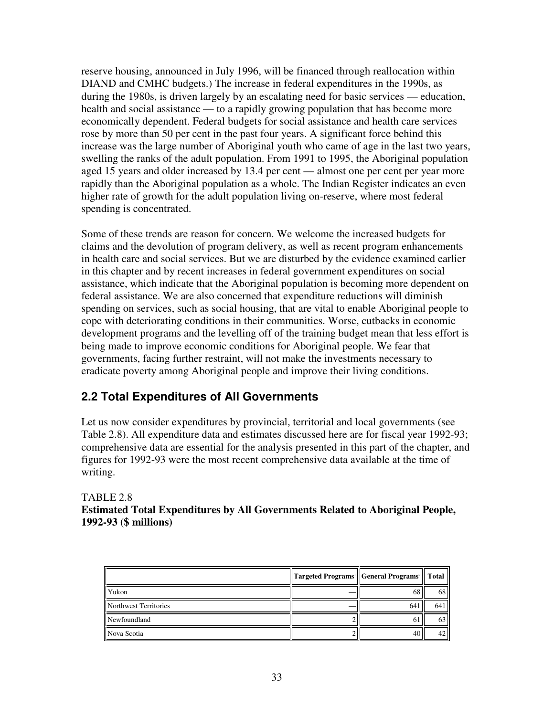reserve housing, announced in July 1996, will be financed through reallocation within DIAND and CMHC budgets.) The increase in federal expenditures in the 1990s, as during the 1980s, is driven largely by an escalating need for basic services — education, health and social assistance — to a rapidly growing population that has become more economically dependent. Federal budgets for social assistance and health care services rose by more than 50 per cent in the past four years. A significant force behind this increase was the large number of Aboriginal youth who came of age in the last two years, swelling the ranks of the adult population. From 1991 to 1995, the Aboriginal population aged 15 years and older increased by 13.4 per cent — almost one per cent per year more rapidly than the Aboriginal population as a whole. The Indian Register indicates an even higher rate of growth for the adult population living on-reserve, where most federal spending is concentrated.

Some of these trends are reason for concern. We welcome the increased budgets for claims and the devolution of program delivery, as well as recent program enhancements in health care and social services. But we are disturbed by the evidence examined earlier in this chapter and by recent increases in federal government expenditures on social assistance, which indicate that the Aboriginal population is becoming more dependent on federal assistance. We are also concerned that expenditure reductions will diminish spending on services, such as social housing, that are vital to enable Aboriginal people to cope with deteriorating conditions in their communities. Worse, cutbacks in economic development programs and the levelling off of the training budget mean that less effort is being made to improve economic conditions for Aboriginal people. We fear that governments, facing further restraint, will not make the investments necessary to eradicate poverty among Aboriginal people and improve their living conditions.

# **2.2 Total Expenditures of All Governments**

Let us now consider expenditures by provincial, territorial and local governments (see Table 2.8). All expenditure data and estimates discussed here are for fiscal year 1992-93; comprehensive data are essential for the analysis presented in this part of the chapter, and figures for 1992-93 were the most recent comprehensive data available at the time of writing.

### TABLE 2.8 **Estimated Total Expenditures by All Governments Related to Aboriginal People, 1992-93 (\$ millions)**

|                       | Targeted Programs <sup>1</sup>    General Programs <sup>2</sup>    Total |     |     |
|-----------------------|--------------------------------------------------------------------------|-----|-----|
| Yukon                 |                                                                          | 68  | 68  |
| Northwest Territories |                                                                          | 641 | 641 |
| Newfoundland          |                                                                          | 61  | 63  |
| Nova Scotia           |                                                                          | 40  | 42  |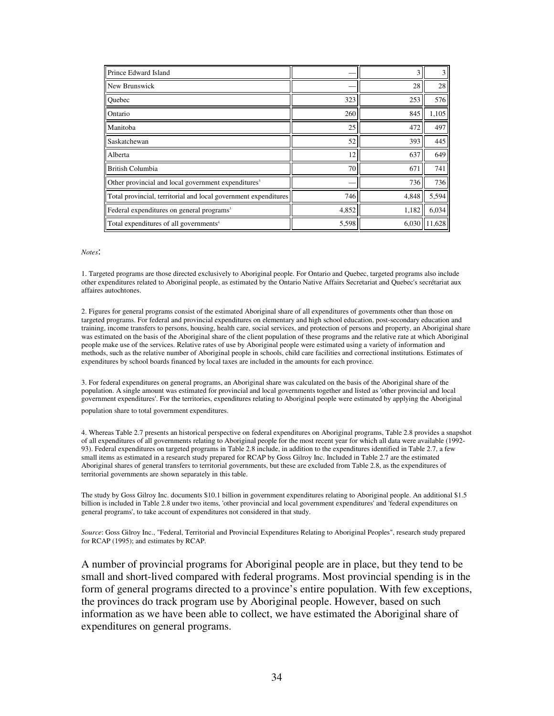| Prince Edward Island                                            |       | 3     | 3      |
|-----------------------------------------------------------------|-------|-------|--------|
| New Brunswick                                                   |       | 28    | 28     |
| <b>Ouebec</b>                                                   | 323   | 253   | 576    |
| Ontario                                                         | 260   | 845   | 1,105  |
| Manitoba                                                        | 25    | 472   | 497    |
| Saskatchewan                                                    | 52    | 393   | 445    |
| Alberta                                                         | 12    | 637   | 649    |
| <b>British Columbia</b>                                         | 70    | 671   | 741    |
| Other provincial and local government expenditures <sup>3</sup> |       | 736   | 736    |
| Total provincial, territorial and local government expenditures | 746   | 4,848 | 5,594  |
| Federal expenditures on general programs <sup>3</sup>           | 4,852 | 1,182 | 6,034  |
| Total expenditures of all governments <sup>4</sup>              | 5,598 | 6,030 | 11,628 |

*Notes*:

1. Targeted programs are those directed exclusively to Aboriginal people. For Ontario and Quebec, targeted programs also include other expenditures related to Aboriginal people, as estimated by the Ontario Native Affairs Secretariat and Quebec's secrétariat aux affaires autochtones.

2. Figures for general programs consist of the estimated Aboriginal share of all expenditures of governments other than those on targeted programs. For federal and provincial expenditures on elementary and high school education, post-secondary education and training, income transfers to persons, housing, health care, social services, and protection of persons and property, an Aboriginal share was estimated on the basis of the Aboriginal share of the client population of these programs and the relative rate at which Aboriginal people make use of the services. Relative rates of use by Aboriginal people were estimated using a variety of information and methods, such as the relative number of Aboriginal people in schools, child care facilities and correctional institutions. Estimates of expenditures by school boards financed by local taxes are included in the amounts for each province.

3. For federal expenditures on general programs, an Aboriginal share was calculated on the basis of the Aboriginal share of the population. A single amount was estimated for provincial and local governments together and listed as 'other provincial and local government expenditures'. For the territories, expenditures relating to Aboriginal people were estimated by applying the Aboriginal

population share to total government expenditures.

4. Whereas Table 2.7 presents an historical perspective on federal expenditures on Aboriginal programs, Table 2.8 provides a snapshot of all expenditures of all governments relating to Aboriginal people for the most recent year for which all data were available (1992- 93). Federal expenditures on targeted programs in Table 2.8 include, in addition to the expenditures identified in Table 2.7, a few small items as estimated in a research study prepared for RCAP by Goss Gilroy Inc. Included in Table 2.7 are the estimated Aboriginal shares of general transfers to territorial governments, but these are excluded from Table 2.8, as the expenditures of territorial governments are shown separately in this table.

The study by Goss Gilroy Inc. documents \$10.1 billion in government expenditures relating to Aboriginal people. An additional \$1.5 billion is included in Table 2.8 under two items, 'other provincial and local government expenditures' and 'federal expenditures on general programs', to take account of expenditures not considered in that study.

*Source*: Goss Gilroy Inc., "Federal, Territorial and Provincial Expenditures Relating to Aboriginal Peoples", research study prepared for RCAP (1995); and estimates by RCAP.

A number of provincial programs for Aboriginal people are in place, but they tend to be small and short-lived compared with federal programs. Most provincial spending is in the form of general programs directed to a province's entire population. With few exceptions, the provinces do track program use by Aboriginal people. However, based on such information as we have been able to collect, we have estimated the Aboriginal share of expenditures on general programs.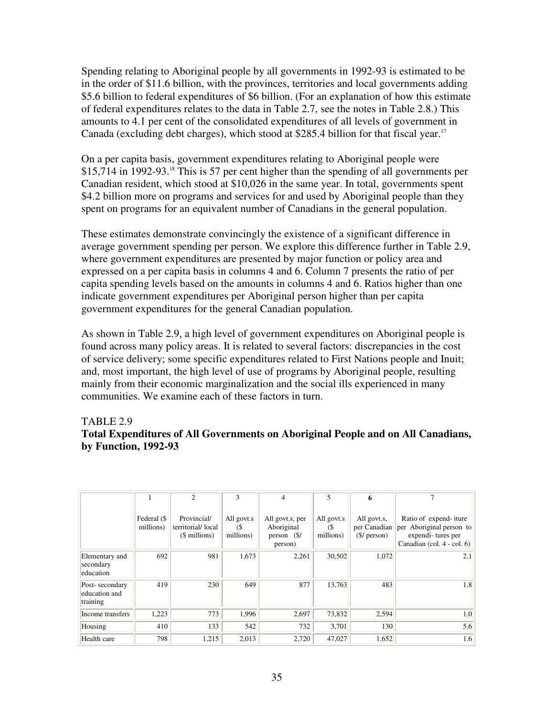Spending relating to Aboriginal people by all governments in 1992-93 is estimated to be in the order of \$11.6 billion, with the provinces, territories and local governments adding \$5.6 billion to federal expenditures of \$6 billion. (For an explanation of how this estimate of federal expenditures relates to the data in Table 2.7, see the notes in Table 2.8.) This amounts to 4.1 per cent of the consolidated expenditures of all levels of government in Canada (excluding debt charges), which stood at \$285.4 billion for that fiscal year. 17

On a per capita basis, government expenditures relating to Aboriginal people were \$15,714 in 1992-93. <sup>18</sup> This is 57 per cent higher than the spending of all governments per Canadian resident, which stood at \$10,026 in the same year. In total, governments spent \$4.2 billion more on programs and services for and used by Aboriginal people than they spent on programs for an equivalent number of Canadians in the general population.

These estimates demonstrate convincingly the existence of a significant difference in average government spending per person. We explore this difference further in Table 2.9, where government expenditures are presented by major function or policy area and expressed on a per capita basis in columns 4 and 6. Column 7 presents the ratio of per capita spending levels based on the amounts in columns 4 and 6. Ratios higher than one indicate government expenditures per Aboriginal person higher than per capita government expenditures for the general Canadian population.

As shown in Table 2.9, a high level of government expenditures on Aboriginal people is found across many policy areas. It is related to several factors: discrepancies in the cost of service delivery; some specific expenditures related to First Nations people and Inuit; and, most important, the high level of use of programs by Aboriginal people, resulting mainly from their economic marginalization and the social ills experienced in many communities. We examine each of these factors in turn.

#### TABLE 2.9

#### **Total Expenditures of All Governments on Aboriginal People and on All Canadians, by Function, 1992-93**

|                                             |                          | $\overline{c}$                                    | 3                              | 4                                                         | 5                              | 6                                                     |                                                                                                      |
|---------------------------------------------|--------------------------|---------------------------------------------------|--------------------------------|-----------------------------------------------------------|--------------------------------|-------------------------------------------------------|------------------------------------------------------------------------------------------------------|
|                                             | Federal (\$<br>millions) | Provincial/<br>territorial/local<br>(\$ millions) | All govt.s<br>(\$<br>millions) | All govt.s, per<br>Aboriginal<br>$person (\$/$<br>person) | All govt.s<br>(\$<br>millions) | All govt.s,<br>per Canadian<br>$(\frac{5}{\sqrt{9}})$ | Ratio of expend-iture<br>per Aboriginal person to<br>expendi-tures per<br>Canadian (col. 4 - col. 6) |
| Elementary and<br>secondary<br>education    | 692                      | 981                                               | 1.673                          | 2,261                                                     | 30,502                         | 1,072                                                 | 2.1                                                                                                  |
| Post-secondary<br>education and<br>training | 419                      | 230                                               | 649                            | 877                                                       | 13,763                         | 483                                                   | 1.8                                                                                                  |
| Income transfers                            | 1,223                    | 773                                               | 1.996                          | 2.697                                                     | 73,832                         | 2,594                                                 | 1.0                                                                                                  |
| Housing                                     | 410                      | 133                                               | 542                            | 732                                                       | 3,701                          | 130                                                   | 5.6                                                                                                  |
| Health care                                 | 798                      | 1,215                                             | 2,013                          | 2,720                                                     | 47,027                         | 1,652                                                 | 1.6                                                                                                  |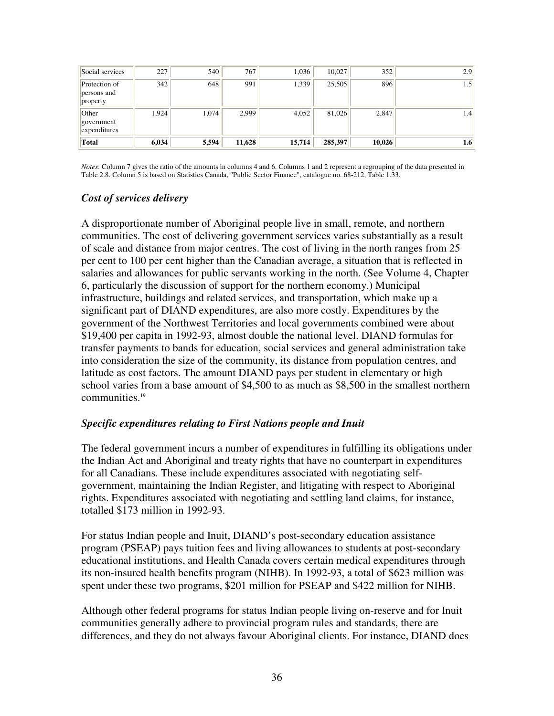| Social services                          | 227   | 540   | 767    | 1,036  | 10,027  | 352    | 2.9              |
|------------------------------------------|-------|-------|--------|--------|---------|--------|------------------|
| Protection of<br>persons and<br>property | 342   | 648   | 991    | 1,339  | 25,505  | 896    | 1.5              |
| Other<br>government<br>expenditures      | 1,924 | 1,074 | 2,999  | 4,052  | 81,026  | 2,847  | 1.4 <sup>°</sup> |
| <b>Total</b>                             | 6,034 | 5,594 | 11,628 | 15,714 | 285,397 | 10,026 | 1.6              |

*Notes*: Column 7 gives the ratio of the amounts in columns 4 and 6. Columns 1 and 2 represent a regrouping of the data presented in Table 2.8. Column 5 is based on Statistics Canada, "Public Sector Finance", catalogue no. 68-212, Table 1.33.

### *Cost of services delivery*

A disproportionate number of Aboriginal people live in small, remote, and northern communities. The cost of delivering government services varies substantially as a result of scale and distance from major centres. The cost of living in the north ranges from 25 per cent to 100 per cent higher than the Canadian average, a situation that is reflected in salaries and allowances for public servants working in the north. (See Volume 4, Chapter 6, particularly the discussion of support for the northern economy.) Municipal infrastructure, buildings and related services, and transportation, which make up a significant part of DIAND expenditures, are also more costly. Expenditures by the government of the Northwest Territories and local governments combined were about \$19,400 per capita in 1992-93, almost double the national level. DIAND formulas for transfer payments to bands for education, social services and general administration take into consideration the size of the community, its distance from population centres, and latitude as cost factors. The amount DIAND pays per student in elementary or high school varies from a base amount of \$4,500 to as much as \$8,500 in the smallest northern communities. 19

#### *Specific expenditures relating to First Nations people and Inuit*

The federal government incurs a number of expenditures in fulfilling its obligations under the Indian Act and Aboriginal and treaty rights that have no counterpart in expenditures for all Canadians. These include expenditures associated with negotiating selfgovernment, maintaining the Indian Register, and litigating with respect to Aboriginal rights. Expenditures associated with negotiating and settling land claims, for instance, totalled \$173 million in 1992-93.

For status Indian people and Inuit, DIAND's post-secondary education assistance program (PSEAP) pays tuition fees and living allowances to students at post-secondary educational institutions, and Health Canada covers certain medical expenditures through its non-insured health benefits program (NIHB). In 1992-93, a total of \$623 million was spent under these two programs, \$201 million for PSEAP and \$422 million for NIHB.

Although other federal programs for status Indian people living on-reserve and for Inuit communities generally adhere to provincial program rules and standards, there are differences, and they do not always favour Aboriginal clients. For instance, DIAND does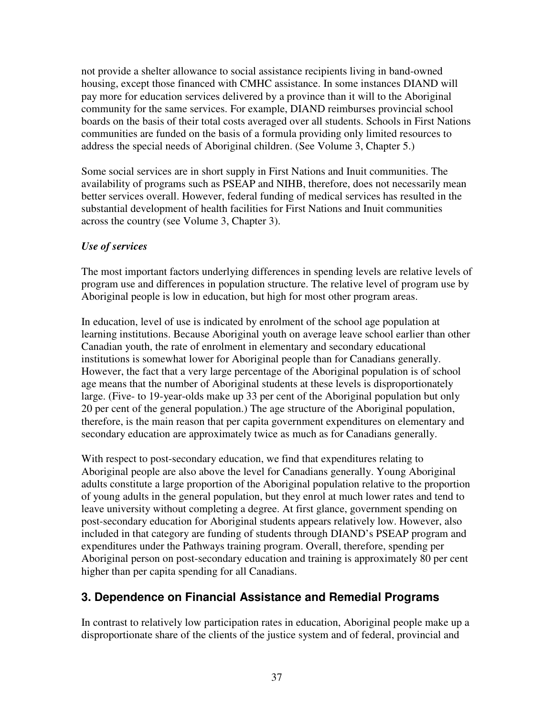not provide a shelter allowance to social assistance recipients living in band-owned housing, except those financed with CMHC assistance. In some instances DIAND will pay more for education services delivered by a province than it will to the Aboriginal community for the same services. For example, DIAND reimburses provincial school boards on the basis of their total costs averaged over all students. Schools in First Nations communities are funded on the basis of a formula providing only limited resources to address the special needs of Aboriginal children. (See Volume 3, Chapter 5.)

Some social services are in short supply in First Nations and Inuit communities. The availability of programs such as PSEAP and NIHB, therefore, does not necessarily mean better services overall. However, federal funding of medical services has resulted in the substantial development of health facilities for First Nations and Inuit communities across the country (see Volume 3, Chapter 3).

### *Use of services*

The most important factors underlying differences in spending levels are relative levels of program use and differences in population structure. The relative level of program use by Aboriginal people is low in education, but high for most other program areas.

In education, level of use is indicated by enrolment of the school age population at learning institutions. Because Aboriginal youth on average leave school earlier than other Canadian youth, the rate of enrolment in elementary and secondary educational institutions is somewhat lower for Aboriginal people than for Canadians generally. However, the fact that a very large percentage of the Aboriginal population is of school age means that the number of Aboriginal students at these levels is disproportionately large. (Five- to 19-year-olds make up 33 per cent of the Aboriginal population but only 20 per cent of the general population.) The age structure of the Aboriginal population, therefore, is the main reason that per capita government expenditures on elementary and secondary education are approximately twice as much as for Canadians generally.

With respect to post-secondary education, we find that expenditures relating to Aboriginal people are also above the level for Canadians generally. Young Aboriginal adults constitute a large proportion of the Aboriginal population relative to the proportion of young adults in the general population, but they enrol at much lower rates and tend to leave university without completing a degree. At first glance, government spending on post-secondary education for Aboriginal students appears relatively low. However, also included in that category are funding of students through DIAND's PSEAP program and expenditures under the Pathways training program. Overall, therefore, spending per Aboriginal person on post-secondary education and training is approximately 80 per cent higher than per capita spending for all Canadians.

## **3. Dependence on Financial Assistance and Remedial Programs**

In contrast to relatively low participation rates in education, Aboriginal people make up a disproportionate share of the clients of the justice system and of federal, provincial and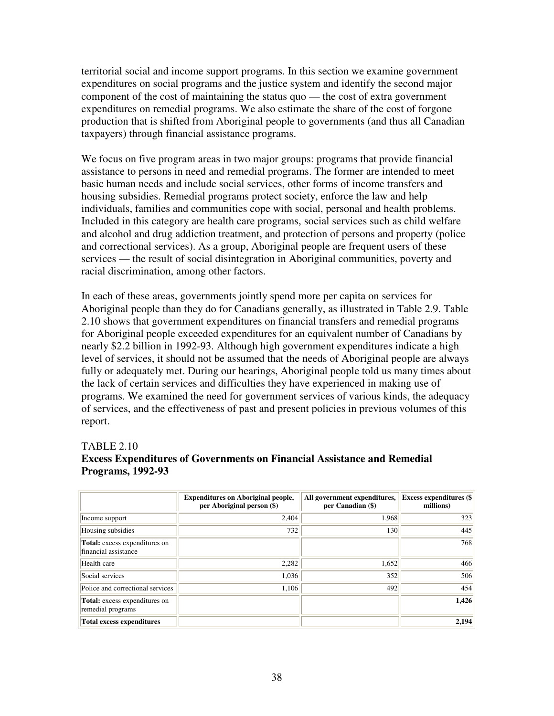territorial social and income support programs. In this section we examine government expenditures on social programs and the justice system and identify the second major component of the cost of maintaining the status quo — the cost of extra government expenditures on remedial programs. We also estimate the share of the cost of forgone production that is shifted from Aboriginal people to governments (and thus all Canadian taxpayers) through financial assistance programs.

We focus on five program areas in two major groups: programs that provide financial assistance to persons in need and remedial programs. The former are intended to meet basic human needs and include social services, other forms of income transfers and housing subsidies. Remedial programs protect society, enforce the law and help individuals, families and communities cope with social, personal and health problems. Included in this category are health care programs, social services such as child welfare and alcohol and drug addiction treatment, and protection of persons and property (police and correctional services). As a group, Aboriginal people are frequent users of these services — the result of social disintegration in Aboriginal communities, poverty and racial discrimination, among other factors.

In each of these areas, governments jointly spend more per capita on services for Aboriginal people than they do for Canadians generally, as illustrated in Table 2.9. Table 2.10 shows that government expenditures on financial transfers and remedial programs for Aboriginal people exceeded expenditures for an equivalent number of Canadians by nearly \$2.2 billion in 1992-93. Although high government expenditures indicate a high level of services, it should not be assumed that the needs of Aboriginal people are always fully or adequately met. During our hearings, Aboriginal people told us many times about the lack of certain services and difficulties they have experienced in making use of programs. We examined the need for government services of various kinds, the adequacy of services, and the effectiveness of past and present policies in previous volumes of this report.

#### TABLE 2.10

#### **Excess Expenditures of Governments on Financial Assistance and Remedial Programs, 1992-93**

|                                                              | <b>Expenditures on Aboriginal people,</b><br>per Aboriginal person (\$) | All government expenditures,<br>per Canadian (\$) | <b>Excess expenditures (\$</b> )<br>millions) |
|--------------------------------------------------------------|-------------------------------------------------------------------------|---------------------------------------------------|-----------------------------------------------|
| Income support                                               | 2,404                                                                   | 1,968                                             | 323                                           |
| Housing subsidies                                            | 732                                                                     | 130                                               | 445                                           |
| <b>Total:</b> excess expenditures on<br>financial assistance |                                                                         |                                                   | 768                                           |
| Health care                                                  | 2,282                                                                   | 1,652                                             | 466                                           |
| Social services                                              | 1,036                                                                   | 352                                               | 506                                           |
| Police and correctional services                             | 1,106                                                                   | 492                                               | 454                                           |
| <b>Total:</b> excess expenditures on<br>remedial programs    |                                                                         |                                                   | 1,426                                         |
| <b>Total excess expenditures</b>                             |                                                                         |                                                   | 2,194                                         |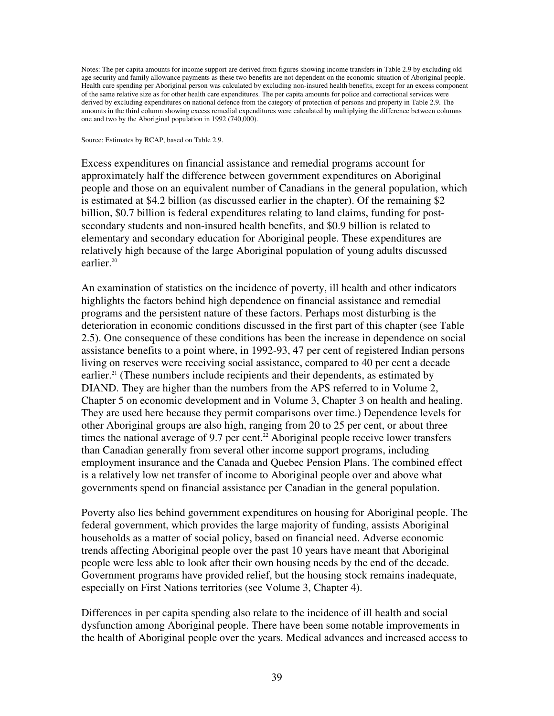Notes: The per capita amounts for income support are derived from figures showing income transfers in Table 2.9 by excluding old age security and family allowance payments as these two benefits are not dependent on the economic situation of Aboriginal people. Health care spending per Aboriginal person was calculated by excluding non-insured health benefits, except for an excess component of the same relative size as for other health care expenditures. The per capita amounts for police and correctional services were derived by excluding expenditures on national defence from the category of protection of persons and property in Table 2.9. The amounts in the third column showing excess remedial expenditures were calculated by multiplying the difference between columns one and two by the Aboriginal population in 1992 (740,000).

Source: Estimates by RCAP, based on Table 2.9.

Excess expenditures on financial assistance and remedial programs account for approximately half the difference between government expenditures on Aboriginal people and those on an equivalent number of Canadians in the general population, which is estimated at \$4.2 billion (as discussed earlier in the chapter). Of the remaining \$2 billion, \$0.7 billion is federal expenditures relating to land claims, funding for postsecondary students and non-insured health benefits, and \$0.9 billion is related to elementary and secondary education for Aboriginal people. These expenditures are relatively high because of the large Aboriginal population of young adults discussed earlier. 20

An examination of statistics on the incidence of poverty, ill health and other indicators highlights the factors behind high dependence on financial assistance and remedial programs and the persistent nature of these factors. Perhaps most disturbing is the deterioration in economic conditions discussed in the first part of this chapter (see Table 2.5). One consequence of these conditions has been the increase in dependence on social assistance benefits to a point where, in 1992-93, 47 per cent of registered Indian persons living on reserves were receiving social assistance, compared to 40 per cent a decade earlier. 21 (These numbers include recipients and their dependents, as estimated by DIAND. They are higher than the numbers from the APS referred to in Volume 2, Chapter 5 on economic development and in Volume 3, Chapter 3 on health and healing. They are used here because they permit comparisons over time.) Dependence levels for other Aboriginal groups are also high, ranging from 20 to 25 per cent, or about three times the national average of 9.7 per cent. <sup>22</sup> Aboriginal people receive lower transfers than Canadian generally from several other income support programs, including employment insurance and the Canada and Quebec Pension Plans. The combined effect is a relatively low net transfer of income to Aboriginal people over and above what governments spend on financial assistance per Canadian in the general population.

Poverty also lies behind government expenditures on housing for Aboriginal people. The federal government, which provides the large majority of funding, assists Aboriginal households as a matter of social policy, based on financial need. Adverse economic trends affecting Aboriginal people over the past 10 years have meant that Aboriginal people were less able to look after their own housing needs by the end of the decade. Government programs have provided relief, but the housing stock remains inadequate, especially on First Nations territories (see Volume 3, Chapter 4).

Differences in per capita spending also relate to the incidence of ill health and social dysfunction among Aboriginal people. There have been some notable improvements in the health of Aboriginal people over the years. Medical advances and increased access to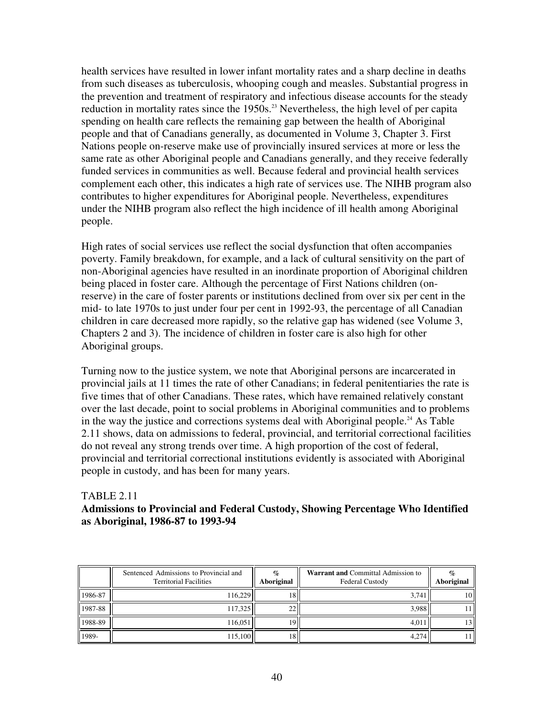health services have resulted in lower infant mortality rates and a sharp decline in deaths from such diseases as tuberculosis, whooping cough and measles. Substantial progress in the prevention and treatment of respiratory and infectious disease accounts for the steady reduction in mortality rates since the 1950s. <sup>23</sup> Nevertheless, the high level of per capita spending on health care reflects the remaining gap between the health of Aboriginal people and that of Canadians generally, as documented in Volume 3, Chapter 3. First Nations people on-reserve make use of provincially insured services at more or less the same rate as other Aboriginal people and Canadians generally, and they receive federally funded services in communities as well. Because federal and provincial health services complement each other, this indicates a high rate of services use. The NIHB program also contributes to higher expenditures for Aboriginal people. Nevertheless, expenditures under the NIHB program also reflect the high incidence of ill health among Aboriginal people.

High rates of social services use reflect the social dysfunction that often accompanies poverty. Family breakdown, for example, and a lack of cultural sensitivity on the part of non-Aboriginal agencies have resulted in an inordinate proportion of Aboriginal children being placed in foster care. Although the percentage of First Nations children (onreserve) in the care of foster parents or institutions declined from over six per cent in the mid- to late 1970s to just under four per cent in 1992-93, the percentage of all Canadian children in care decreased more rapidly, so the relative gap has widened (see Volume 3, Chapters 2 and 3). The incidence of children in foster care is also high for other Aboriginal groups.

Turning now to the justice system, we note that Aboriginal persons are incarcerated in provincial jails at 11 times the rate of other Canadians; in federal penitentiaries the rate is five times that of other Canadians. These rates, which have remained relatively constant over the last decade, point to social problems in Aboriginal communities and to problems in the way the justice and corrections systems deal with Aboriginal people. <sup>24</sup> As Table 2.11 shows, data on admissions to federal, provincial, and territorial correctional facilities do not reveal any strong trends over time. A high proportion of the cost of federal, provincial and territorial correctional institutions evidently is associated with Aboriginal people in custody, and has been for many years.

#### TABLE 2.11

#### **Admissions to Provincial and Federal Custody, Showing Percentage Who Identified as Aboriginal, 1986-87 to 1993-94**

|         | Sentenced Admissions to Provincial and<br><b>Territorial Facilities</b> | $\mathcal{G}_0$<br>Aboriginal | <b>Warrant and Committal Admission to</b><br><b>Federal Custody</b> | $\%$<br>Aboriginal |
|---------|-------------------------------------------------------------------------|-------------------------------|---------------------------------------------------------------------|--------------------|
| 1986-87 | 116.229                                                                 | 18                            | 3.741                                                               | 10 <sup> </sup>    |
| 1987-88 | 117,325                                                                 | ົາ                            | 3.988                                                               |                    |
| 1988-89 | 116.051                                                                 | 19                            | 4,011                                                               | 13 I               |
| 1989-   | 115.100                                                                 | 18                            | 4.274                                                               |                    |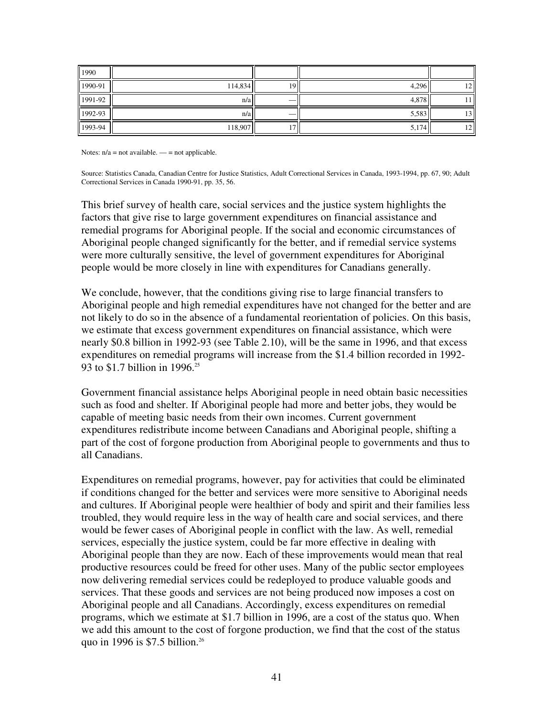| 1990    |         |     |       |                 |
|---------|---------|-----|-------|-----------------|
| 1990-91 | 114,834 | 19  | 4,296 | 12 <sup>1</sup> |
| 1991-92 | n/a     |     | 4,878 |                 |
| 1992-93 | n/a     |     | 5,583 | 13 <sup>1</sup> |
| 1993-94 | 118,907 | . . | 5,174 | 12              |

Notes:  $n/a = not available.$  — = not applicable.

Source: Statistics Canada, Canadian Centre for Justice Statistics, Adult Correctional Services in Canada, 1993-1994, pp. 67, 90; Adult Correctional Services in Canada 1990-91, pp. 35, 56.

This brief survey of health care, social services and the justice system highlights the factors that give rise to large government expenditures on financial assistance and remedial programs for Aboriginal people. If the social and economic circumstances of Aboriginal people changed significantly for the better, and if remedial service systems were more culturally sensitive, the level of government expenditures for Aboriginal people would be more closely in line with expenditures for Canadians generally.

We conclude, however, that the conditions giving rise to large financial transfers to Aboriginal people and high remedial expenditures have not changed for the better and are not likely to do so in the absence of a fundamental reorientation of policies. On this basis, we estimate that excess government expenditures on financial assistance, which were nearly \$0.8 billion in 1992-93 (see Table 2.10), will be the same in 1996, and that excess expenditures on remedial programs will increase from the \$1.4 billion recorded in 1992- 93 to \$1.7 billion in 1996. 25

Government financial assistance helps Aboriginal people in need obtain basic necessities such as food and shelter. If Aboriginal people had more and better jobs, they would be capable of meeting basic needs from their own incomes. Current government expenditures redistribute income between Canadians and Aboriginal people, shifting a part of the cost of forgone production from Aboriginal people to governments and thus to all Canadians.

Expenditures on remedial programs, however, pay for activities that could be eliminated if conditions changed for the better and services were more sensitive to Aboriginal needs and cultures. If Aboriginal people were healthier of body and spirit and their families less troubled, they would require less in the way of health care and social services, and there would be fewer cases of Aboriginal people in conflict with the law. As well, remedial services, especially the justice system, could be far more effective in dealing with Aboriginal people than they are now. Each of these improvements would mean that real productive resources could be freed for other uses. Many of the public sector employees now delivering remedial services could be redeployed to produce valuable goods and services. That these goods and services are not being produced now imposes a cost on Aboriginal people and all Canadians. Accordingly, excess expenditures on remedial programs, which we estimate at \$1.7 billion in 1996, are a cost of the status quo. When we add this amount to the cost of forgone production, we find that the cost of the status quo in 1996 is \$7.5 billion. 26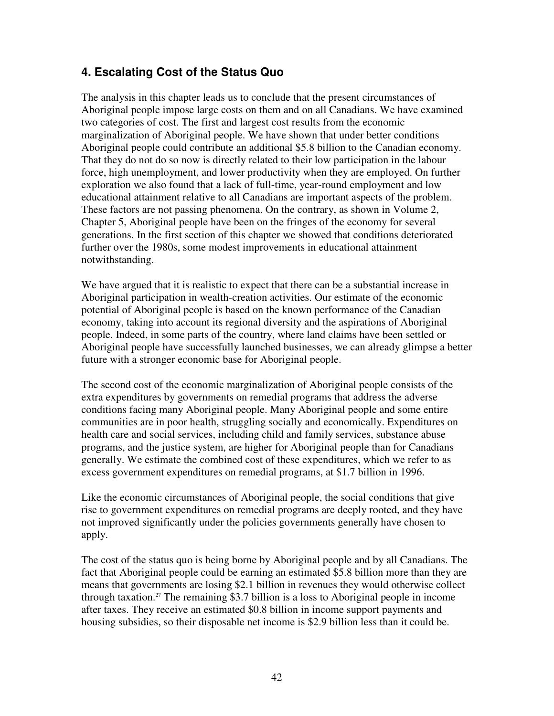## **4. Escalating Cost of the Status Quo**

The analysis in this chapter leads us to conclude that the present circumstances of Aboriginal people impose large costs on them and on all Canadians. We have examined two categories of cost. The first and largest cost results from the economic marginalization of Aboriginal people. We have shown that under better conditions Aboriginal people could contribute an additional \$5.8 billion to the Canadian economy. That they do not do so now is directly related to their low participation in the labour force, high unemployment, and lower productivity when they are employed. On further exploration we also found that a lack of full-time, year-round employment and low educational attainment relative to all Canadians are important aspects of the problem. These factors are not passing phenomena. On the contrary, as shown in Volume 2, Chapter 5, Aboriginal people have been on the fringes of the economy for several generations. In the first section of this chapter we showed that conditions deteriorated further over the 1980s, some modest improvements in educational attainment notwithstanding.

We have argued that it is realistic to expect that there can be a substantial increase in Aboriginal participation in wealth-creation activities. Our estimate of the economic potential of Aboriginal people is based on the known performance of the Canadian economy, taking into account its regional diversity and the aspirations of Aboriginal people. Indeed, in some parts of the country, where land claims have been settled or Aboriginal people have successfully launched businesses, we can already glimpse a better future with a stronger economic base for Aboriginal people.

The second cost of the economic marginalization of Aboriginal people consists of the extra expenditures by governments on remedial programs that address the adverse conditions facing many Aboriginal people. Many Aboriginal people and some entire communities are in poor health, struggling socially and economically. Expenditures on health care and social services, including child and family services, substance abuse programs, and the justice system, are higher for Aboriginal people than for Canadians generally. We estimate the combined cost of these expenditures, which we refer to as excess government expenditures on remedial programs, at \$1.7 billion in 1996.

Like the economic circumstances of Aboriginal people, the social conditions that give rise to government expenditures on remedial programs are deeply rooted, and they have not improved significantly under the policies governments generally have chosen to apply.

The cost of the status quo is being borne by Aboriginal people and by all Canadians. The fact that Aboriginal people could be earning an estimated \$5.8 billion more than they are means that governments are losing \$2.1 billion in revenues they would otherwise collect through taxation. <sup>27</sup> The remaining \$3.7 billion is a loss to Aboriginal people in income after taxes. They receive an estimated \$0.8 billion in income support payments and housing subsidies, so their disposable net income is \$2.9 billion less than it could be.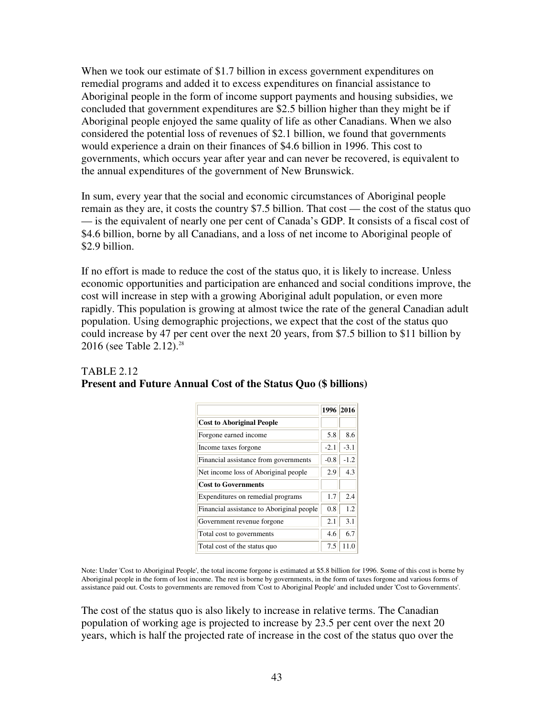When we took our estimate of \$1.7 billion in excess government expenditures on remedial programs and added it to excess expenditures on financial assistance to Aboriginal people in the form of income support payments and housing subsidies, we concluded that government expenditures are \$2.5 billion higher than they might be if Aboriginal people enjoyed the same quality of life as other Canadians. When we also considered the potential loss of revenues of \$2.1 billion, we found that governments would experience a drain on their finances of \$4.6 billion in 1996. This cost to governments, which occurs year after year and can never be recovered, is equivalent to the annual expenditures of the government of New Brunswick.

In sum, every year that the social and economic circumstances of Aboriginal people remain as they are, it costs the country \$7.5 billion. That cost — the cost of the status quo — is the equivalent of nearly one per cent of Canada's GDP. It consists of a fiscal cost of \$4.6 billion, borne by all Canadians, and a loss of net income to Aboriginal people of \$2.9 billion.

If no effort is made to reduce the cost of the status quo, it is likely to increase. Unless economic opportunities and participation are enhanced and social conditions improve, the cost will increase in step with a growing Aboriginal adult population, or even more rapidly. This population is growing at almost twice the rate of the general Canadian adult population. Using demographic projections, we expect that the cost of the status quo could increase by 47 per cent over the next 20 years, from \$7.5 billion to \$11 billion by 2016 (see Table 2.12). 28

### TABLE 2.12 **Present and Future Annual Cost of the Status Quo (\$ billions)**

|                                           |        | 1996 2016 |
|-------------------------------------------|--------|-----------|
| <b>Cost to Aboriginal People</b>          |        |           |
| Forgone earned income                     | 5.8    | 8.6       |
| Income taxes forgone                      | $-2.1$ | $-3.1$    |
| Financial assistance from governments     | $-0.8$ | $-1.2$    |
| Net income loss of Aboriginal people      | 2.9    | 4.3       |
| <b>Cost to Governments</b>                |        |           |
| Expenditures on remedial programs         | 1.7    | 2.4       |
| Financial assistance to Aboriginal people | 0.8    | 1.2       |
| Government revenue forgone                | 2.1    | 3.1       |
| Total cost to governments                 | 4.6    | 6.7       |
| Total cost of the status quo              | 7.5    |           |

Note: Under 'Cost to Aboriginal People', the total income forgone is estimated at \$5.8 billion for 1996. Some of this cost is borne by Aboriginal people in the form of lost income. The rest is borne by governments, in the form of taxes forgone and various forms of assistance paid out. Costs to governments are removed from 'Cost to Aboriginal People'and included under 'Cost to Governments'.

The cost of the status quo is also likely to increase in relative terms. The Canadian population of working age is projected to increase by 23.5 per cent over the next 20 years, which is half the projected rate of increase in the cost of the status quo over the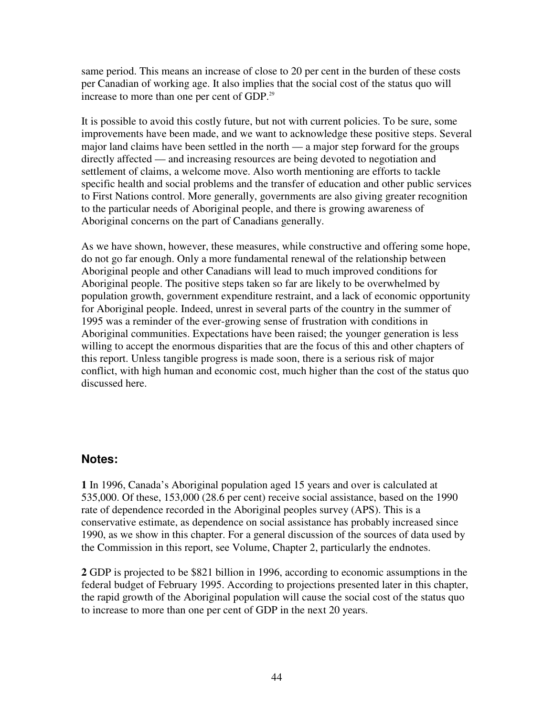same period. This means an increase of close to 20 per cent in the burden of these costs per Canadian of working age. It also implies that the social cost of the status quo will increase to more than one per cent of GDP. 29

It is possible to avoid this costly future, but not with current policies. To be sure, some improvements have been made, and we want to acknowledge these positive steps. Several major land claims have been settled in the north — a major step forward for the groups directly affected — and increasing resources are being devoted to negotiation and settlement of claims, a welcome move. Also worth mentioning are efforts to tackle specific health and social problems and the transfer of education and other public services to First Nations control. More generally, governments are also giving greater recognition to the particular needs of Aboriginal people, and there is growing awareness of Aboriginal concerns on the part of Canadians generally.

As we have shown, however, these measures, while constructive and offering some hope, do not go far enough. Only a more fundamental renewal of the relationship between Aboriginal people and other Canadians will lead to much improved conditions for Aboriginal people. The positive steps taken so far are likely to be overwhelmed by population growth, government expenditure restraint, and a lack of economic opportunity for Aboriginal people. Indeed, unrest in several parts of the country in the summer of 1995 was a reminder of the ever-growing sense of frustration with conditions in Aboriginal communities. Expectations have been raised; the younger generation is less willing to accept the enormous disparities that are the focus of this and other chapters of this report. Unless tangible progress is made soon, there is a serious risk of major conflict, with high human and economic cost, much higher than the cost of the status quo discussed here.

## **Notes:**

**1** In 1996, Canada's Aboriginal population aged 15 years and over is calculated at 535,000. Of these, 153,000 (28.6 per cent) receive social assistance, based on the 1990 rate of dependence recorded in the Aboriginal peoples survey (APS). This is a conservative estimate, as dependence on social assistance has probably increased since 1990, as we show in this chapter. For a general discussion of the sources of data used by the Commission in this report, see Volume, Chapter 2, particularly the endnotes.

**2** GDP is projected to be \$821 billion in 1996, according to economic assumptions in the federal budget of February 1995. According to projections presented later in this chapter, the rapid growth of the Aboriginal population will cause the social cost of the status quo to increase to more than one per cent of GDP in the next 20 years.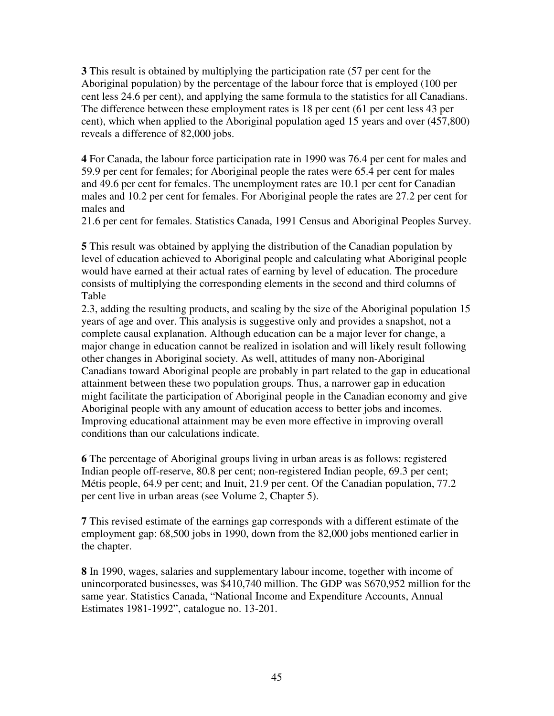**3** This result is obtained by multiplying the participation rate (57 per cent for the Aboriginal population) by the percentage of the labour force that is employed (100 per cent less 24.6 per cent), and applying the same formula to the statistics for all Canadians. The difference between these employment rates is 18 per cent (61 per cent less 43 per cent), which when applied to the Aboriginal population aged 15 years and over (457,800) reveals a difference of 82,000 jobs.

**4** For Canada, the labour force participation rate in 1990 was 76.4 per cent for males and 59.9 per cent for females; for Aboriginal people the rates were 65.4 per cent for males and 49.6 per cent for females. The unemployment rates are 10.1 per cent for Canadian males and 10.2 per cent for females. For Aboriginal people the rates are 27.2 per cent for males and

21.6 per cent for females. Statistics Canada, 1991 Census and Aboriginal Peoples Survey.

**5** This result was obtained by applying the distribution of the Canadian population by level of education achieved to Aboriginal people and calculating what Aboriginal people would have earned at their actual rates of earning by level of education. The procedure consists of multiplying the corresponding elements in the second and third columns of Table

2.3, adding the resulting products, and scaling by the size of the Aboriginal population 15 years of age and over. This analysis is suggestive only and provides a snapshot, not a complete causal explanation. Although education can be a major lever for change, a major change in education cannot be realized in isolation and will likely result following other changes in Aboriginal society. As well, attitudes of many non-Aboriginal Canadians toward Aboriginal people are probably in part related to the gap in educational attainment between these two population groups. Thus, a narrower gap in education might facilitate the participation of Aboriginal people in the Canadian economy and give Aboriginal people with any amount of education access to better jobs and incomes. Improving educational attainment may be even more effective in improving overall conditions than our calculations indicate.

**6** The percentage of Aboriginal groups living in urban areas is as follows: registered Indian people off-reserve, 80.8 per cent; non-registered Indian people, 69.3 per cent; Métis people, 64.9 per cent; and Inuit, 21.9 per cent. Of the Canadian population, 77.2 per cent live in urban areas (see Volume 2, Chapter 5).

**7** This revised estimate of the earnings gap corresponds with a different estimate of the employment gap: 68,500 jobs in 1990, down from the 82,000 jobs mentioned earlier in the chapter.

**8** In 1990, wages, salaries and supplementary labour income, together with income of unincorporated businesses, was \$410,740 million. The GDP was \$670,952 million for the same year. Statistics Canada, "National Income and Expenditure Accounts, Annual Estimates 1981-1992", catalogue no. 13-201.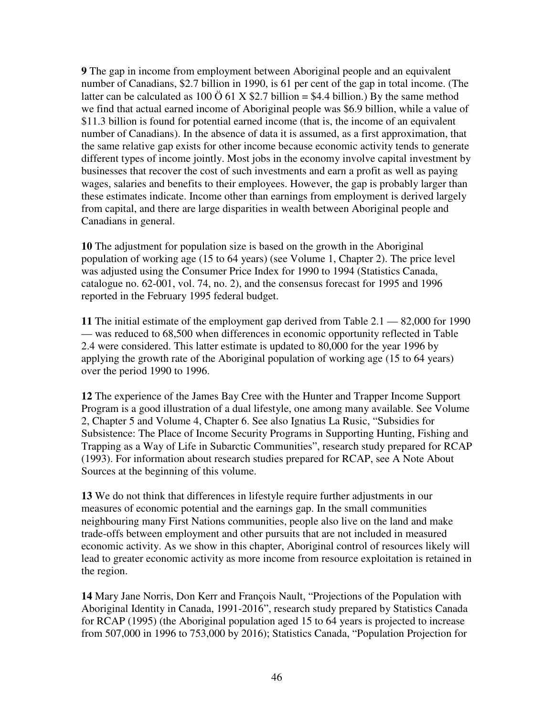**9** The gap in income from employment between Aboriginal people and an equivalent number of Canadians, \$2.7 billion in 1990, is 61 per cent of the gap in total income. (The latter can be calculated as 100  $\ddot{\text{O}}$  61 X \$2.7 billion = \$4.4 billion.) By the same method we find that actual earned income of Aboriginal people was \$6.9 billion, while a value of \$11.3 billion is found for potential earned income (that is, the income of an equivalent number of Canadians). In the absence of data it is assumed, as a first approximation, that the same relative gap exists for other income because economic activity tends to generate different types of income jointly. Most jobs in the economy involve capital investment by businesses that recover the cost of such investments and earn a profit as well as paying wages, salaries and benefits to their employees. However, the gap is probably larger than these estimates indicate. Income other than earnings from employment is derived largely from capital, and there are large disparities in wealth between Aboriginal people and Canadians in general.

**10** The adjustment for population size is based on the growth in the Aboriginal population of working age (15 to 64 years) (see Volume 1, Chapter 2). The price level was adjusted using the Consumer Price Index for 1990 to 1994 (Statistics Canada, catalogue no. 62-001, vol. 74, no. 2), and the consensus forecast for 1995 and 1996 reported in the February 1995 federal budget.

**11** The initial estimate of the employment gap derived from Table 2.1 — 82,000 for 1990 — was reduced to 68,500 when differences in economic opportunity reflected in Table 2.4 were considered. This latter estimate is updated to 80,000 for the year 1996 by applying the growth rate of the Aboriginal population of working age (15 to 64 years) over the period 1990 to 1996.

**12** The experience of the James Bay Cree with the Hunter and Trapper Income Support Program is a good illustration of a dual lifestyle, one among many available. See Volume 2, Chapter 5 and Volume 4, Chapter 6. See also Ignatius La Rusic, "Subsidies for Subsistence: The Place of Income Security Programs in Supporting Hunting, Fishing and Trapping as a Way of Life in Subarctic Communities", research study prepared for RCAP (1993). For information about research studies prepared for RCAP, see A Note About Sources at the beginning of this volume.

**13** We do not think that differences in lifestyle require further adjustments in our measures of economic potential and the earnings gap. In the small communities neighbouring many First Nations communities, people also live on the land and make trade-offs between employment and other pursuits that are not included in measured economic activity. As we show in this chapter, Aboriginal control of resources likely will lead to greater economic activity as more income from resource exploitation is retained in the region.

**14** Mary Jane Norris, Don Kerr and François Nault, "Projections of the Population with Aboriginal Identity in Canada, 1991-2016", research study prepared by Statistics Canada for RCAP (1995) (the Aboriginal population aged 15 to 64 years is projected to increase from 507,000 in 1996 to 753,000 by 2016); Statistics Canada, "Population Projection for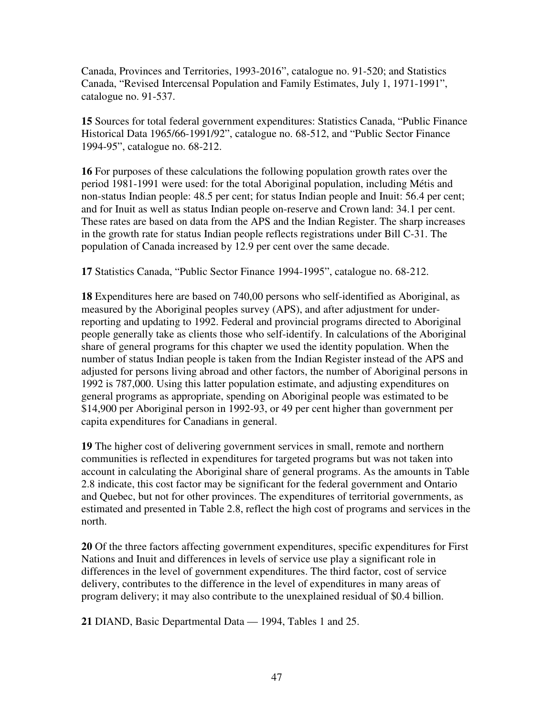Canada, Provinces and Territories, 1993-2016", catalogue no. 91-520; and Statistics Canada, "Revised Intercensal Population and Family Estimates, July 1, 1971-1991", catalogue no. 91-537.

**15** Sources for total federal government expenditures: Statistics Canada, "Public Finance Historical Data 1965/66-1991/92", catalogue no. 68-512, and "Public Sector Finance 1994-95", catalogue no. 68-212.

**16** For purposes of these calculations the following population growth rates over the period 1981-1991 were used: for the total Aboriginal population, including Métis and non-status Indian people: 48.5 per cent; for status Indian people and Inuit: 56.4 per cent; and for Inuit as well as status Indian people on-reserve and Crown land: 34.1 per cent. These rates are based on data from the APS and the Indian Register. The sharp increases in the growth rate for status Indian people reflects registrations under Bill C-31. The population of Canada increased by 12.9 per cent over the same decade.

**17** Statistics Canada, "Public Sector Finance 1994-1995", catalogue no. 68-212.

**18** Expenditures here are based on 740,00 persons who self-identified as Aboriginal, as measured by the Aboriginal peoples survey (APS), and after adjustment for underreporting and updating to 1992. Federal and provincial programs directed to Aboriginal people generally take as clients those who self-identify. In calculations of the Aboriginal share of general programs for this chapter we used the identity population. When the number of status Indian people is taken from the Indian Register instead of the APS and adjusted for persons living abroad and other factors, the number of Aboriginal persons in 1992 is 787,000. Using this latter population estimate, and adjusting expenditures on general programs as appropriate, spending on Aboriginal people was estimated to be \$14,900 per Aboriginal person in 1992-93, or 49 per cent higher than government per capita expenditures for Canadians in general.

**19** The higher cost of delivering government services in small, remote and northern communities is reflected in expenditures for targeted programs but was not taken into account in calculating the Aboriginal share of general programs. As the amounts in Table 2.8 indicate, this cost factor may be significant for the federal government and Ontario and Quebec, but not for other provinces. The expenditures of territorial governments, as estimated and presented in Table 2.8, reflect the high cost of programs and services in the north.

**20** Of the three factors affecting government expenditures, specific expenditures for First Nations and Inuit and differences in levels of service use play a significant role in differences in the level of government expenditures. The third factor, cost of service delivery, contributes to the difference in the level of expenditures in many areas of program delivery; it may also contribute to the unexplained residual of \$0.4 billion.

**21** DIAND, Basic Departmental Data — 1994, Tables 1 and 25.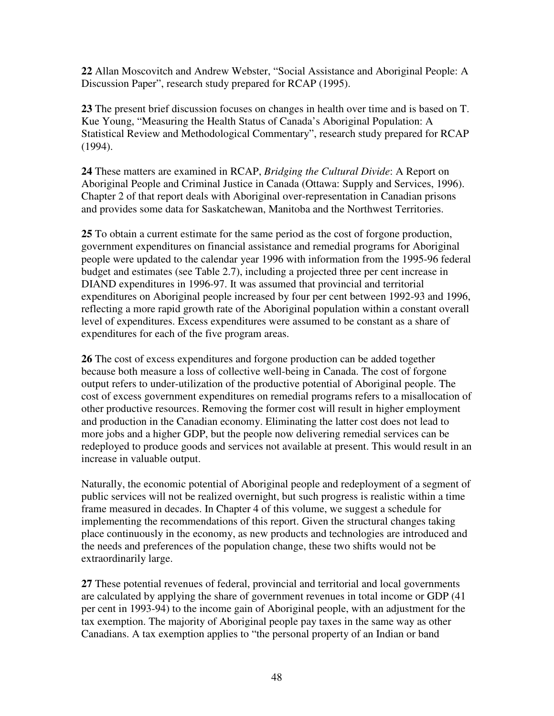**22** Allan Moscovitch and Andrew Webster, "Social Assistance and Aboriginal People: A Discussion Paper", research study prepared for RCAP (1995).

**23** The present brief discussion focuses on changes in health over time and is based on T. Kue Young, "Measuring the Health Status of Canada's Aboriginal Population: A Statistical Review and Methodological Commentary", research study prepared for RCAP (1994).

**24** These matters are examined in RCAP, *Bridging the Cultural Divide*: A Report on Aboriginal People and Criminal Justice in Canada (Ottawa: Supply and Services, 1996). Chapter 2 of that report deals with Aboriginal over-representation in Canadian prisons and provides some data for Saskatchewan, Manitoba and the Northwest Territories.

**25** To obtain a current estimate for the same period as the cost of forgone production, government expenditures on financial assistance and remedial programs for Aboriginal people were updated to the calendar year 1996 with information from the 1995-96 federal budget and estimates (see Table 2.7), including a projected three per cent increase in DIAND expenditures in 1996-97. It was assumed that provincial and territorial expenditures on Aboriginal people increased by four per cent between 1992-93 and 1996, reflecting a more rapid growth rate of the Aboriginal population within a constant overall level of expenditures. Excess expenditures were assumed to be constant as a share of expenditures for each of the five program areas.

**26** The cost of excess expenditures and forgone production can be added together because both measure a loss of collective well-being in Canada. The cost of forgone output refers to under-utilization of the productive potential of Aboriginal people. The cost of excess government expenditures on remedial programs refers to a misallocation of other productive resources. Removing the former cost will result in higher employment and production in the Canadian economy. Eliminating the latter cost does not lead to more jobs and a higher GDP, but the people now delivering remedial services can be redeployed to produce goods and services not available at present. This would result in an increase in valuable output.

Naturally, the economic potential of Aboriginal people and redeployment of a segment of public services will not be realized overnight, but such progress is realistic within a time frame measured in decades. In Chapter 4 of this volume, we suggest a schedule for implementing the recommendations of this report. Given the structural changes taking place continuously in the economy, as new products and technologies are introduced and the needs and preferences of the population change, these two shifts would not be extraordinarily large.

**27** These potential revenues of federal, provincial and territorial and local governments are calculated by applying the share of government revenues in total income or GDP (41 per cent in 1993-94) to the income gain of Aboriginal people, with an adjustment for the tax exemption. The majority of Aboriginal people pay taxes in the same way as other Canadians. A tax exemption applies to "the personal property of an Indian or band